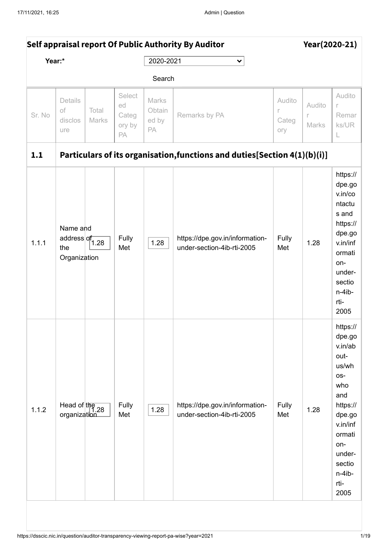| Self appraisal report Of Public Authority By Auditor |                                                                |                |                                       |                                |                                                                            |                             |                             | Year(2020-21)                                                                                                                                                        |
|------------------------------------------------------|----------------------------------------------------------------|----------------|---------------------------------------|--------------------------------|----------------------------------------------------------------------------|-----------------------------|-----------------------------|----------------------------------------------------------------------------------------------------------------------------------------------------------------------|
|                                                      | Year:*                                                         |                |                                       | 2020-2021                      | $\checkmark$                                                               |                             |                             |                                                                                                                                                                      |
|                                                      |                                                                |                |                                       | Search                         |                                                                            |                             |                             |                                                                                                                                                                      |
| Sr. No                                               | Details<br>of<br>disclos<br>ure                                | Total<br>Marks | Select<br>ed<br>Categ<br>ory by<br>PA | Marks<br>Obtain<br>ed by<br>PA | Remarks by PA                                                              | Audito<br>r<br>Categ<br>ory | Audito<br>$\Gamma$<br>Marks | Audito<br>r<br>Remar<br>ks/UR<br>L                                                                                                                                   |
| 1.1                                                  |                                                                |                |                                       |                                | Particulars of its organisation, functions and duties [Section 4(1)(b)(i)] |                             |                             |                                                                                                                                                                      |
| 1.1.1                                                | Name and<br>address of $\frac{1}{1.28}$<br>the<br>Organization |                | Fully<br>Met                          | 1.28                           | https://dpe.gov.in/information-<br>under-section-4ib-rti-2005              | Fully<br>Met                | 1.28                        | https://<br>dpe.go<br>v.in/co<br>ntactu<br>s and<br>https://<br>dpe.go<br>v.in/inf<br>ormati<br>on-<br>under-<br>sectio<br>n-4ib-<br>rti-<br>2005                    |
| 1.1.2                                                | Head of $\frac{1}{1.28}$<br>organization                       |                | Fully<br>Met                          | 1.28                           | https://dpe.gov.in/information-<br>under-section-4ib-rti-2005              | Fully<br>Met                | 1.28                        | https://<br>dpe.go<br>v.in/ab<br>out-<br>us/wh<br>os-<br>who<br>and<br>https://<br>dpe.go<br>v.in/inf<br>ormati<br>on-<br>under-<br>sectio<br>n-4ib-<br>rti-<br>2005 |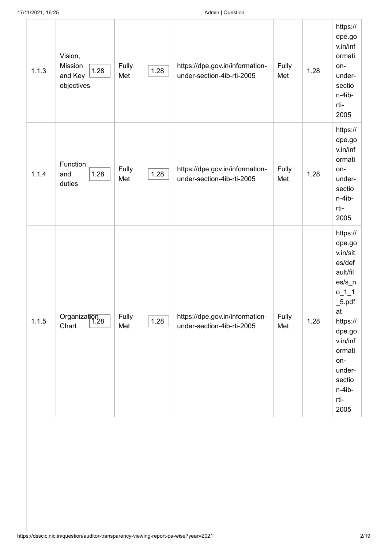| 17/11/2021, 16:25 |                                             |      |              | Admin   Question |                                                               |              |      |                                                                                                                                                                                                            |  |
|-------------------|---------------------------------------------|------|--------------|------------------|---------------------------------------------------------------|--------------|------|------------------------------------------------------------------------------------------------------------------------------------------------------------------------------------------------------------|--|
| 1.1.3             | Vision,<br>Mission<br>and Key<br>objectives | 1.28 | Fully<br>Met | 1.28             | https://dpe.gov.in/information-<br>under-section-4ib-rti-2005 | Fully<br>Met | 1.28 | https://<br>dpe.go<br>v.in/inf<br>ormati<br>on-<br>under-<br>sectio<br>n-4ib-<br>rti-<br>2005                                                                                                              |  |
| 1.1.4             | Function<br>and<br>duties                   | 1.28 | Fully<br>Met | 1.28             | https://dpe.gov.in/information-<br>under-section-4ib-rti-2005 | Fully<br>Met | 1.28 | https://<br>dpe.go<br>v.in/inf<br>ormati<br>on-<br>under-<br>sectio<br>n-4ib-<br>rti-<br>2005                                                                                                              |  |
| 1.1.5             | Organization<br>  1.28<br>Chart             |      | Fully<br>Met | 1.28             | https://dpe.gov.in/information-<br>under-section-4ib-rti-2005 | Fully<br>Met | 1.28 | https://<br>dpe.go<br>v.in/sit<br>es/def<br>ault/fil<br>$es/s_n$<br>$0_1$ <sup>1</sup><br>$\_5.pdf$<br>at<br>https://<br>dpe.go<br>v.in/inf<br>ormati<br>on-<br>under-<br>sectio<br>n-4ib-<br>rti-<br>2005 |  |
|                   |                                             |      |              |                  |                                                               |              |      |                                                                                                                                                                                                            |  |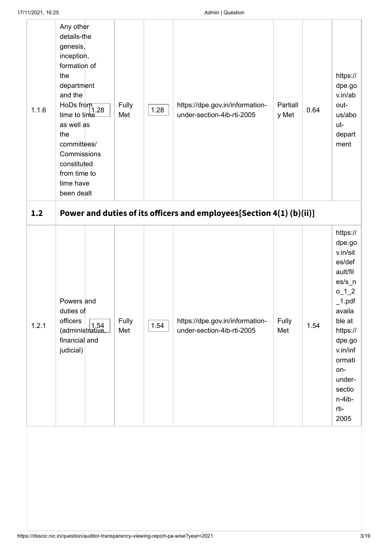| 1.1.6 | Any other<br>details-the<br>genesis,<br>inception,<br>formation of<br>the<br>department<br>and the<br>HoDs from $\sqrt{\frac{1}{1.28}}$<br>time to time<br>as well as<br>the<br>committees/<br>Commissions<br>constituted<br>from time to<br>time have<br>been dealt | Fully<br>Met | 1.28 | https://dpe.gov.in/information-<br>under-section-4ib-rti-2005        | Partiall<br>y Met | 0.64 | https://<br>dpe.go<br>v.in/ab<br>out-<br>us/abo<br>ut-<br>depart<br>ment                                                                                                                                                  |
|-------|----------------------------------------------------------------------------------------------------------------------------------------------------------------------------------------------------------------------------------------------------------------------|--------------|------|----------------------------------------------------------------------|-------------------|------|---------------------------------------------------------------------------------------------------------------------------------------------------------------------------------------------------------------------------|
| 1.2   |                                                                                                                                                                                                                                                                      |              |      | Power and duties of its officers and employees[Section 4(1) (b)(ii)] |                   |      |                                                                                                                                                                                                                           |
| 1.2.1 | Powers and<br>duties of<br>officers<br>$\frac{5 \text{m} \cdot \text{m}}{($ administrative,<br>financial and<br>judicial)                                                                                                                                            | Fully<br>Met | 1.54 | https://dpe.gov.in/information-<br>under-section-4ib-rti-2005        | Fully<br>Met      | 1.54 | https://<br>dpe.go<br>v.in/sit<br>es/def<br>ault/fil<br>$\mathsf{es/s}$ _n<br>$0_{12}$<br>$\_1$ .pdf<br>availa<br>ble at<br>https://<br>dpe.go<br>v.in/inf<br>ormati<br>on-<br>under-<br>sectio<br>n-4ib-<br>rti-<br>2005 |
|       |                                                                                                                                                                                                                                                                      |              |      |                                                                      |                   |      |                                                                                                                                                                                                                           |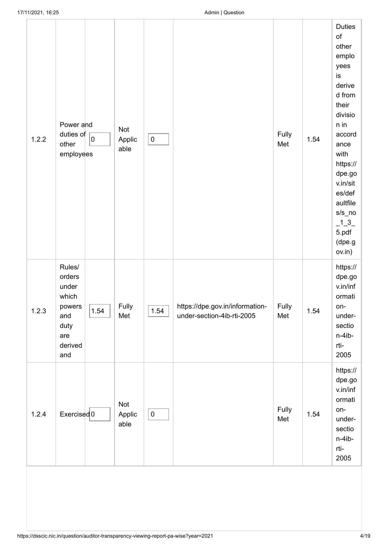| 1.2.2 | Power and<br>duties of<br>$\overline{0}$<br>other<br>employees                               | Not<br>Applic<br>able | $\pmb{0}$ |                                                               | Fully<br>Met | 1.54 | <b>Duties</b><br>of<br>other<br>emplo<br>yees<br>is<br>derive<br>d from<br>their<br>divisio<br>n in<br>accord<br>ance<br>with<br>https://<br>dpe.go<br>v.in/sit<br>es/def<br>aultfile<br>$s/s$ _no<br>$-1 - 3$<br>5.pdf<br>(dpe.g<br>ov.in) |
|-------|----------------------------------------------------------------------------------------------|-----------------------|-----------|---------------------------------------------------------------|--------------|------|---------------------------------------------------------------------------------------------------------------------------------------------------------------------------------------------------------------------------------------------|
| 1.2.3 | Rules/<br>orders<br>under<br>which<br>powers<br>1.54<br>and<br>duty<br>are<br>derived<br>and | Fully<br>Met          | 1.54      | https://dpe.gov.in/information-<br>under-section-4ib-rti-2005 | Fully<br>Met | 1.54 | https://<br>dpe.gov<br>v.in/inf<br>ormati<br>on-<br>under-<br>sectio<br>n-4ib-<br>rti-<br>2005                                                                                                                                              |
| 1.2.4 | Exercised 0                                                                                  | Not<br>Applic<br>able | $\pmb{0}$ |                                                               | Fully<br>Met | 1.54 | https://<br>dpe.go<br>v.in/inf<br>ormati<br>on-<br>under-<br>sectio<br>n-4ib-<br>rti-<br>2005                                                                                                                                               |
|       |                                                                                              |                       |           |                                                               |              |      |                                                                                                                                                                                                                                             |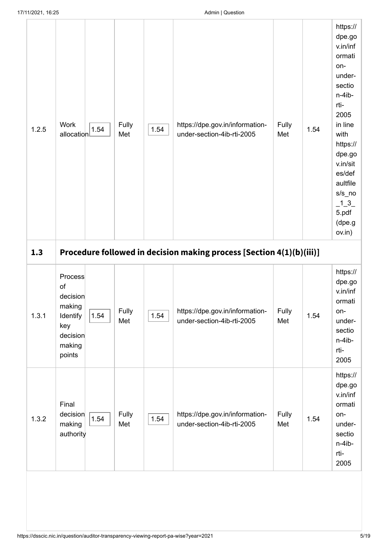| 1.2.5 | Work<br>1.54<br>allocation                                                                     | Fully<br>Met | 1.54 | https://dpe.gov.in/information-<br>under-section-4ib-rti-2005        | Fully<br>Met | 1.54 | https://<br>dpe.go<br>v.in/inf<br>ormati<br>on-<br>under-<br>sectio<br>n-4ib-<br>rti-<br>2005<br>in line<br>with<br>https://<br>dpe.go<br>v.in/sit<br>es/def<br>aultfile<br>$s/s$ _no<br>$-1 - 3$<br>5.pdf<br>(dpe.g<br>ov.in) |
|-------|------------------------------------------------------------------------------------------------|--------------|------|----------------------------------------------------------------------|--------------|------|--------------------------------------------------------------------------------------------------------------------------------------------------------------------------------------------------------------------------------|
| 1.3   |                                                                                                |              |      | Procedure followed in decision making process [Section 4(1)(b)(iii)] |              |      |                                                                                                                                                                                                                                |
| 1.3.1 | Process<br>of<br>decision<br>making<br>Identify<br>1.54<br>key<br>decision<br>making<br>points | Fully<br>Met | 1.54 | https://dpe.gov.in/information-<br>under-section-4ib-rti-2005        | Fully<br>Met | 1.54 | https://<br>dpe.go<br>v.in/inf<br>ormati<br>on-<br>under-<br>sectio<br>n-4ib-<br>rti-<br>2005                                                                                                                                  |
| 1.3.2 | Final<br>decision<br>1.54<br>making<br>authority                                               | Fully<br>Met | 1.54 | https://dpe.gov.in/information-<br>under-section-4ib-rti-2005        | Fully<br>Met | 1.54 | https://<br>dpe.go<br>v.in/inf<br>ormati<br>on-<br>under-<br>sectio<br>n-4ib-<br>rti-<br>2005                                                                                                                                  |
|       |                                                                                                |              |      |                                                                      |              |      |                                                                                                                                                                                                                                |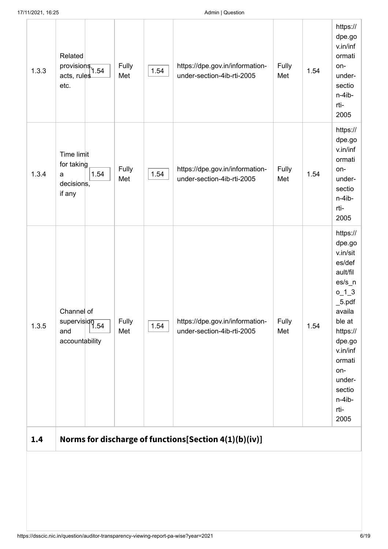| 1.3.3 | Related<br>$provisions$ <sub>1.54</sub><br>acts, rules<br>etc.     | Fully<br>Met | 1.54 | https://dpe.gov.in/information-<br>under-section-4ib-rti-2005 | Fully<br>Met | 1.54 | https://<br>dpe.go<br>v.in/inf<br>ormati<br>on-<br>under-<br>sectio<br>n-4ib-<br>rti-<br>2005                                                                                                                               |
|-------|--------------------------------------------------------------------|--------------|------|---------------------------------------------------------------|--------------|------|-----------------------------------------------------------------------------------------------------------------------------------------------------------------------------------------------------------------------------|
| 1.3.4 | Time limit<br>for taking<br>1.54<br>a<br>decisions,<br>if any      | Fully<br>Met | 1.54 | https://dpe.gov.in/information-<br>under-section-4ib-rti-2005 | Fully<br>Met | 1.54 | https://<br>dpe.go<br>v.in/inf<br>ormati<br>on-<br>under-<br>sectio<br>n-4ib-<br>rti-<br>2005                                                                                                                               |
| 1.3.5 | Channel of<br>$supervis$ $\frac{1}{1.54}$<br>and<br>accountability | Fully<br>Met | 1.54 | https://dpe.gov.in/information-<br>under-section-4ib-rti-2005 | Fully<br>Met | 1.54 | https://<br>dpe.go<br>v.in/sit<br>es/def<br>ault/fil<br>$\mathsf{es/s}\_n$<br>$0_1$ $3_2$<br>$\_5.pdf$<br>availa<br>ble at<br>https://<br>dpe.go<br>v.in/inf<br>ormati<br>on-<br>under-<br>sectio<br>n-4ib-<br>rti-<br>2005 |
| 1.4   |                                                                    |              |      | Norms for discharge of functions[Section 4(1)(b)(iv)]         |              |      |                                                                                                                                                                                                                             |
|       |                                                                    |              |      |                                                               |              |      |                                                                                                                                                                                                                             |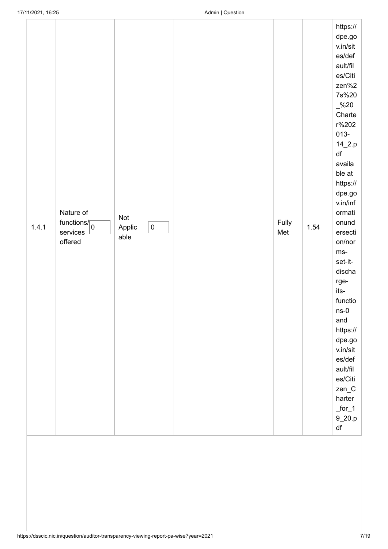<span id="page-6-0"></span>

| 1.4.1 | Nature of<br>functions/<br>services<br>offered | Not<br>Applic<br>able | $\pmb{0}$ | Fully<br>Met | 1.54 | https://<br>dpe.gov<br>v.in/sit<br>es/def<br>ault/fil<br>es/Citi<br>zen%2<br>7s%20<br>$-$ %20<br>Charte<br>r%202<br>$013 -$<br>$14_2.p$<br>$\mathsf{d}\mathsf{f}$<br>availa<br>ble at<br>https://<br>dpe.go<br>v.in/inf<br>ormati<br>onund<br>ersecti<br>on/nor<br>$ms-$<br>set-it-<br>discha<br>rge-<br>its-<br>functio<br>$ns-0$<br>and<br>https://<br>dpe.go<br>v.in/sit<br>es/def<br>ault/fil<br>es/Citi<br>$zen_C$<br>harter<br>$for_1$<br>$9_20.p$<br>$\mathsf{df}$ |
|-------|------------------------------------------------|-----------------------|-----------|--------------|------|---------------------------------------------------------------------------------------------------------------------------------------------------------------------------------------------------------------------------------------------------------------------------------------------------------------------------------------------------------------------------------------------------------------------------------------------------------------------------|
|       |                                                |                       |           |              |      |                                                                                                                                                                                                                                                                                                                                                                                                                                                                           |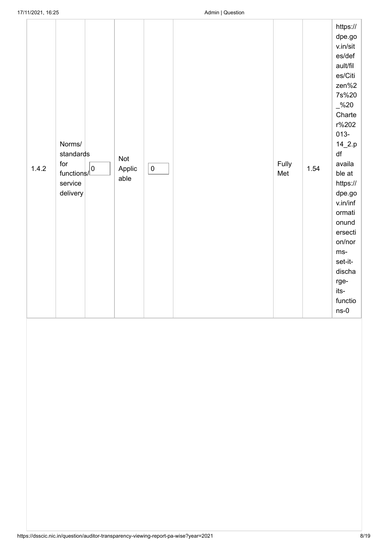| 1.4.2 | Norms/<br>standards<br>for<br>$functions / \_$<br>service<br>delivery | Not<br>Applic<br>able | $\pmb{0}$ |  | Fully<br>Met | 1.54 | https://<br>dpe.go<br>v.in/sit<br>es/def<br>ault/fil<br>es/Citi<br>zen%2<br>7s%20<br>$-$ %20<br>Charte<br>r%202<br>$013 -$<br>$14_2. p$<br>df<br>availa<br>ble at<br>https://<br>dpe.go<br>v.in/inf<br>ormati<br>onund<br>ersecti<br>on/nor<br>ms-<br>set-it-<br>discha<br>rge-<br>its-<br>functio<br>$ns-0$ |
|-------|-----------------------------------------------------------------------|-----------------------|-----------|--|--------------|------|--------------------------------------------------------------------------------------------------------------------------------------------------------------------------------------------------------------------------------------------------------------------------------------------------------------|
|-------|-----------------------------------------------------------------------|-----------------------|-----------|--|--------------|------|--------------------------------------------------------------------------------------------------------------------------------------------------------------------------------------------------------------------------------------------------------------------------------------------------------------|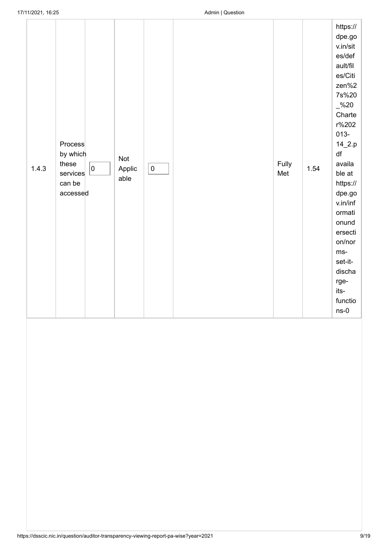| 1.4.3 | Process<br>by which<br>these<br>0<br>services<br>can be<br>accessed | Not<br>Applic<br>able | $\pmb{0}$ |  | Fully<br>Met | 1.54 | https://<br>dpe.go<br>v.in/sit<br>es/def<br>ault/fil<br>es/Citi<br>zen%2<br>7s%20<br>$\frac{6}{2}$ %20<br>Charte<br>r%202<br>$013 -$<br>$14_2.p$<br>df<br>availa<br>ble at<br>https://<br>dpe.gov<br>v.in/inf<br>ormati<br>onund<br>ersecti<br>on/nor<br>ms-<br>set-it-<br>discha<br>rge-<br>its-<br>functio<br>$ns-0$ |
|-------|---------------------------------------------------------------------|-----------------------|-----------|--|--------------|------|------------------------------------------------------------------------------------------------------------------------------------------------------------------------------------------------------------------------------------------------------------------------------------------------------------------------|
|-------|---------------------------------------------------------------------|-----------------------|-----------|--|--------------|------|------------------------------------------------------------------------------------------------------------------------------------------------------------------------------------------------------------------------------------------------------------------------------------------------------------------------|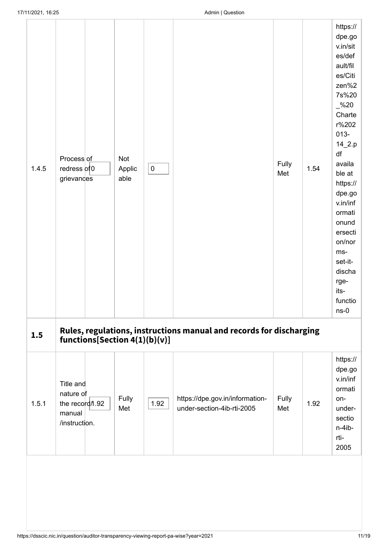| 1.4.5 | Process of<br>redress of 0<br>grievances                             | Not<br>Applic<br>able | ${\bf 0}$ |                                                                     | Fully<br>Met | 1.54 | https://<br>dpe.go<br>v.in/sit<br>es/def<br>ault/fil<br>es/Citi<br>zen%2<br>7s%20<br>$-$ %20<br>Charte<br>r%202<br>$013 -$<br>$14_2.p$<br>df<br>availa<br>ble at<br>https://<br>dpe.go<br>v.in/inf<br>ormati<br>onund<br>ersecti<br>on/nor<br>ms-<br>set-it-<br>discha<br>rge-<br>its-<br>functio<br>$ns-0$ |
|-------|----------------------------------------------------------------------|-----------------------|-----------|---------------------------------------------------------------------|--------------|------|-------------------------------------------------------------------------------------------------------------------------------------------------------------------------------------------------------------------------------------------------------------------------------------------------------------|
| 1.5   | functions[Section $4(1)(b)(v)$ ]                                     |                       |           | Rules, regulations, instructions manual and records for discharging |              |      |                                                                                                                                                                                                                                                                                                             |
| 1.5.1 | Title and<br>nature of<br>the record/1.92<br>manual<br>/instruction. | Fully<br>Met          | 1.92      | https://dpe.gov.in/information-<br>under-section-4ib-rti-2005       | Fully<br>Met | 1.92 | https://<br>dpe.go<br>v.in/inf<br>ormati<br>on-<br>under-<br>sectio<br>$n-4ib-$<br>rti-<br>2005                                                                                                                                                                                                             |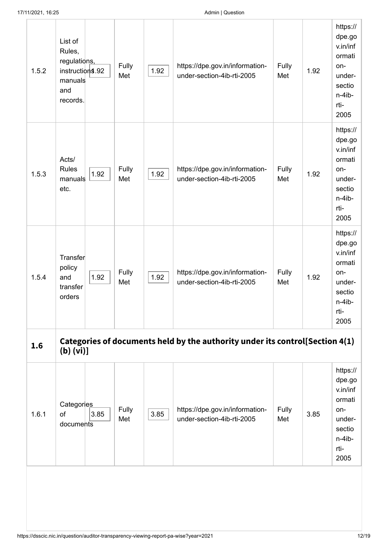| 1.5.2 | List of<br>Rules,<br>regulations,<br>instruction <sup>\$</sup> .92<br>manuals<br>and<br>records. | Fully<br>Met | 1.92 | https://dpe.gov.in/information-<br>under-section-4ib-rti-2005                | Fully<br>Met | 1.92 | https://<br>dpe.go<br>v.in/inf<br>ormati<br>on-<br>under-<br>sectio<br>n-4ib-<br>rti-<br>2005 |
|-------|--------------------------------------------------------------------------------------------------|--------------|------|------------------------------------------------------------------------------|--------------|------|-----------------------------------------------------------------------------------------------|
| 1.5.3 | Acts/<br><b>Rules</b><br>1.92<br>manuals<br>etc.                                                 | Fully<br>Met | 1.92 | https://dpe.gov.in/information-<br>under-section-4ib-rti-2005                | Fully<br>Met | 1.92 | https://<br>dpe.go<br>v.in/inf<br>ormati<br>on-<br>under-<br>sectio<br>n-4ib-<br>rti-<br>2005 |
| 1.5.4 | Transfer<br>policy<br>1.92<br>and<br>transfer<br>orders                                          | Fully<br>Met | 1.92 | https://dpe.gov.in/information-<br>under-section-4ib-rti-2005                | Fully<br>Met | 1.92 | https://<br>dpe.go<br>v.in/inf<br>ormati<br>on-<br>under-<br>sectio<br>n-4ib-<br>rti-<br>2005 |
| 1.6   | (b) (vi)                                                                                         |              |      | Categories of documents held by the authority under its control[Section 4(1) |              |      |                                                                                               |
| 1.6.1 | Categories<br>of<br>3.85<br>documents                                                            | Fully<br>Met | 3.85 | https://dpe.gov.in/information-<br>under-section-4ib-rti-2005                | Fully<br>Met | 3.85 | https://<br>dpe.go<br>v.in/inf<br>ormati<br>on-<br>under-<br>sectio<br>n-4ib-<br>rti-<br>2005 |
|       |                                                                                                  |              |      |                                                                              |              |      |                                                                                               |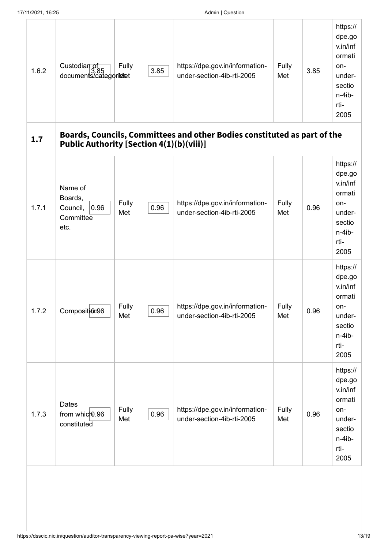| 17/11/2021, 16:25 |                                                             |                                       |              |      | Admin   Question                                                                                                     |              |      |                                                                                               |
|-------------------|-------------------------------------------------------------|---------------------------------------|--------------|------|----------------------------------------------------------------------------------------------------------------------|--------------|------|-----------------------------------------------------------------------------------------------|
| 1.6.2             |                                                             | Custodian of<br>documents/categoriest | <b>Fully</b> | 3.85 | https://dpe.gov.in/information-<br>under-section-4ib-rti-2005                                                        | Fully<br>Met | 3.85 | https://<br>dpe.go<br>v.in/inf<br>ormati<br>on-<br>under-<br>sectio<br>n-4ib-<br>rti-<br>2005 |
| 1.7               |                                                             |                                       |              |      | Boards, Councils, Committees and other Bodies constituted as part of the<br>Public Authority [Section 4(1)(b)(viii)] |              |      |                                                                                               |
| 1.7.1             | Name of<br>Boards,<br>Council,<br>Committee<br>etc.         | 0.96                                  | Fully<br>Met | 0.96 | https://dpe.gov.in/information-<br>under-section-4ib-rti-2005                                                        | Fully<br>Met | 0.96 | https://<br>dpe.go<br>v.in/inf<br>ormati<br>on-<br>under-<br>sectio<br>n-4ib-<br>rti-<br>2005 |
| 1.7.2             | Composition96                                               |                                       | Fully<br>Met | 0.96 | https://dpe.gov.in/information-<br>under-section-4ib-rti-2005                                                        | Fully<br>Met | 0.96 | https://<br>dpe.go<br>v.in/inf<br>ormati<br>on-<br>under-<br>sectio<br>n-4ib-<br>rti-<br>2005 |
| 1.7.3             | <b>Dates</b><br>from which 0.96<br>$constitute\overline{d}$ |                                       | Fully<br>Met | 0.96 | https://dpe.gov.in/information-<br>under-section-4ib-rti-2005                                                        | Fully<br>Met | 0.96 | https://<br>dpe.go<br>v.in/inf<br>ormati<br>on-<br>under-<br>sectio<br>n-4ib-<br>rti-<br>2005 |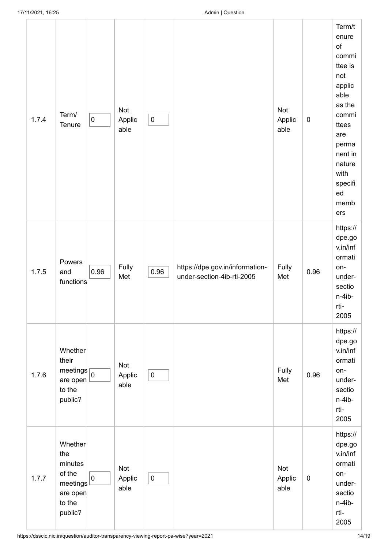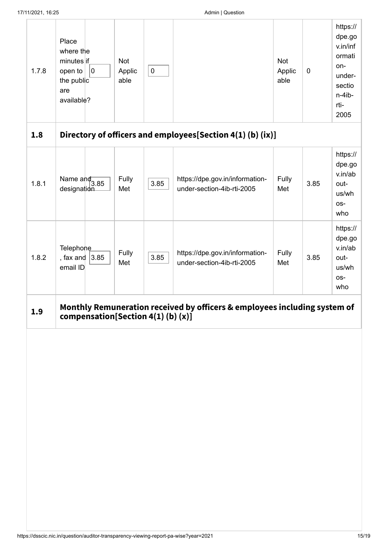| 1.7.8<br>1.8 | Place<br>where the<br>minutes if<br>$\pmb{0}$<br>open to<br>the public<br>are<br>available? | Not<br>Applic<br>able | $\pmb{0}$ | Directory of officers and employees[Section 4(1) (b) (ix)]                | Not<br>Applic<br>able | $\mathbf 0$ | https://<br>dpe.go<br>v.in/inf<br>ormati<br>on-<br>under-<br>sectio<br>n-4ib-<br>rti-<br>2005 |
|--------------|---------------------------------------------------------------------------------------------|-----------------------|-----------|---------------------------------------------------------------------------|-----------------------|-------------|-----------------------------------------------------------------------------------------------|
|              |                                                                                             |                       |           |                                                                           |                       |             | https://                                                                                      |
| 1.8.1        | Name $\frac{1}{3.85}$<br>designation                                                        | Fully<br>Met          | 3.85      | https://dpe.gov.in/information-<br>under-section-4ib-rti-2005             | Fully<br>Met          | 3.85        | dpe.go<br>v.in/ab<br>out-<br>us/wh<br>os-<br>who                                              |
| 1.8.2        | Telephone<br>, fax and $ 3.85$<br>email ID                                                  | Fully<br>Met          | 3.85      | https://dpe.gov.in/information-<br>under-section-4ib-rti-2005             | Fully<br>Met          | 3.85        | https://<br>dpe.go<br>v.in/ab<br>out-<br>us/wh<br>os-<br>who                                  |
| 1.9          | compensation[Section 4(1)(b)(x)]                                                            |                       |           | Monthly Remuneration received by officers & employees including system of |                       |             |                                                                                               |
|              |                                                                                             |                       |           |                                                                           |                       |             |                                                                                               |

÷.

÷,

J.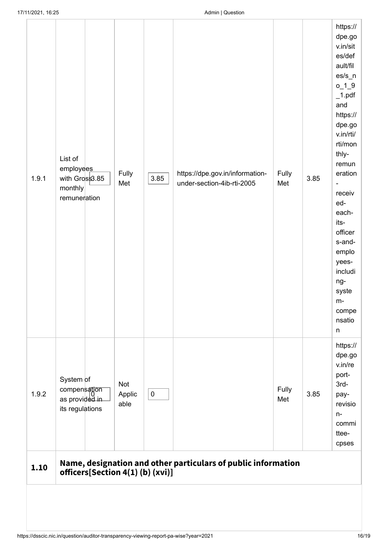| 1.10  | officers[Section 4(1)(b)(xvi)]                                    |                       |           | Name, designation and other particulars of public information |              |      |                                                                                                                                                                                                                                                                                                                                              |
|-------|-------------------------------------------------------------------|-----------------------|-----------|---------------------------------------------------------------|--------------|------|----------------------------------------------------------------------------------------------------------------------------------------------------------------------------------------------------------------------------------------------------------------------------------------------------------------------------------------------|
| 1.9.2 | System of<br>compensation<br>as provided in<br>its regulations    | Not<br>Applic<br>able | $\pmb{0}$ |                                                               | Fully<br>Met | 3.85 | https://<br>dpe.go<br>v.in/re<br>port-<br>$3rd-$<br>pay-<br>revisio<br>$n-$<br>commi<br>ttee-<br>cpses                                                                                                                                                                                                                                       |
| 1.9.1 | List of<br>employees<br>with Gross3.85<br>monthly<br>remuneration | Fully<br>Met          | 3.85      | https://dpe.gov.in/information-<br>under-section-4ib-rti-2005 | Fully<br>Met | 3.85 | https://<br>dpe.go<br>v.in/sit<br>es/def<br>ault/fil<br>$es/s_n$<br>$0_1$ $1_9$<br>$\_1.pdf$<br>and<br>https://<br>dpe.go<br>v.in/rti/<br>rti/mon<br>thly-<br>remun<br>eration<br>$\overline{\phantom{0}}$<br>receiv<br>ed-<br>each-<br>its-<br>officer<br>s-and-<br>emplo<br>yees-<br>includi<br>ng-<br>syste<br>m-<br>compe<br>nsatio<br>n |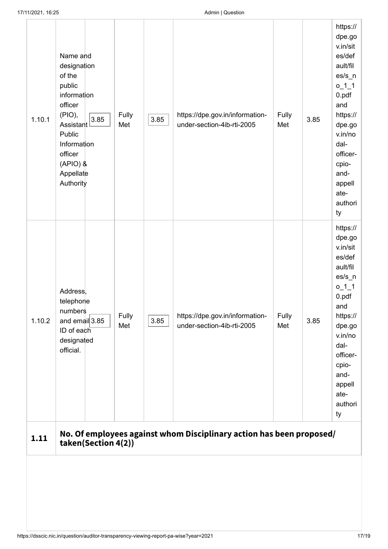| 1.10.1 | Name and<br>designation<br>of the<br>public<br>information<br>officer<br>(PIO),<br>3.85<br>Assistant<br>Public<br>Information<br>officer<br>$(APIO)$ &<br>Appellate<br>Authority | Fully<br>Met | 3.85 | https://dpe.gov.in/information-<br>under-section-4ib-rti-2005        | Fully<br>Met | 3.85 | https://<br>dpe.go<br>v.in/sit<br>es/def<br>ault/fil<br>$\mathsf{es/s\_n}$<br>$0_1$ <sup>1</sup><br>0.pdf<br>and<br>https://<br>dpe.go<br>v.in/no<br>dal-<br>officer-<br>cpio-<br>and-<br>appell<br>ate-<br>authori<br>ty |
|--------|----------------------------------------------------------------------------------------------------------------------------------------------------------------------------------|--------------|------|----------------------------------------------------------------------|--------------|------|---------------------------------------------------------------------------------------------------------------------------------------------------------------------------------------------------------------------------|
| 1.10.2 | Address,<br>telephone<br>numbers<br>and email 3.85<br>ID of each<br>designated<br>official.                                                                                      | Fully<br>Met | 3.85 | https://dpe.gov.in/information-<br>under-section-4ib-rti-2005        | Fully<br>Met | 3.85 | https://<br>dpe.go<br>v.in/sit<br>es/def<br>ault/fil<br>$\text{es/s}_n$<br>$0_1$ <sup>1</sup><br>0.pdf<br>and<br>https://<br>dpe.go<br>v.in/no<br>dal-<br>officer-<br>cpio-<br>and-<br>appell<br>ate-<br>authori<br>ty    |
| 1.11   | taken(Section 4(2))                                                                                                                                                              |              |      | No. Of employees against whom Disciplinary action has been proposed/ |              |      |                                                                                                                                                                                                                           |
|        |                                                                                                                                                                                  |              |      |                                                                      |              |      |                                                                                                                                                                                                                           |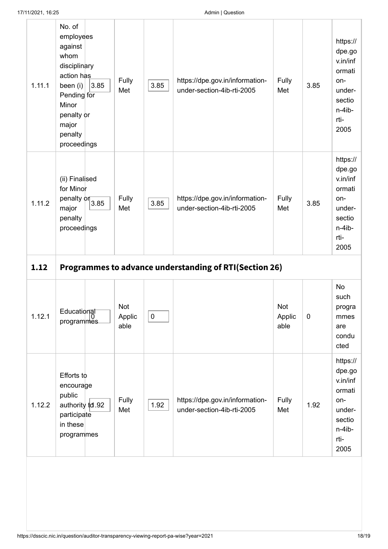| 1.11.1 | No. of<br>employees<br>against<br>whom<br>disciplinary<br>action has<br>3.85<br>been (i)<br>Pending for<br>Minor<br>penalty or<br>major<br>penalty<br>proceedings | Fully<br>Met          | 3.85      | https://dpe.gov.in/information-<br>under-section-4ib-rti-2005 | Fully<br>Met          | 3.85        | https://<br>dpe.go<br>v.in/inf<br>ormati<br>on-<br>under-<br>sectio<br>n-4ib-<br>rti-<br>2005 |
|--------|-------------------------------------------------------------------------------------------------------------------------------------------------------------------|-----------------------|-----------|---------------------------------------------------------------|-----------------------|-------------|-----------------------------------------------------------------------------------------------|
| 1.11.2 | (ii) Finalised<br>for Minor<br>penalty $\frac{1}{3.85}$<br>major<br>penalty<br>proceedings                                                                        | Fully<br>Met          | 3.85      | https://dpe.gov.in/information-<br>under-section-4ib-rti-2005 | Fully<br>Met          | 3.85        | https://<br>dpe.go<br>v.in/inf<br>ormati<br>on-<br>under-<br>sectio<br>n-4ib-<br>rti-<br>2005 |
| 1.12   |                                                                                                                                                                   |                       |           | Programmes to advance understanding of RTI(Section 26)        |                       |             |                                                                                               |
| 1.12.1 | Educational<br>programmes                                                                                                                                         | Not<br>Applic<br>able | $\pmb{0}$ |                                                               | Not<br>Applic<br>able | $\mathbf 0$ | <b>No</b><br>such<br>progra<br>mmes<br>are<br>condu<br>cted                                   |
|        | Efforts to<br>encourage<br>public                                                                                                                                 | Fully                 | 1.92      | https://dpe.gov.in/information-                               | Fully<br>Met          | 1.92        | https://<br>dpe.go<br>v.in/inf<br>ormati<br>on-<br>under-                                     |
| 1.12.2 | authority td.92<br>participate<br>in these<br>programmes                                                                                                          | Met                   |           | under-section-4ib-rti-2005                                    |                       |             | sectio<br>n-4ib-<br>rti-<br>2005                                                              |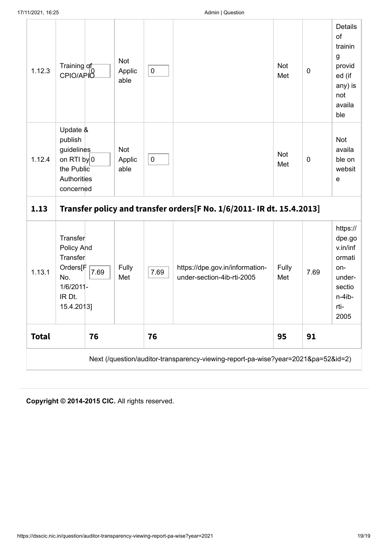| 1.12.3       | Training of<br>CPIO/APIO                                                                           | Not<br>Applic<br>able | $\pmb{0}$ |                                                                                   | Not<br>Met   | $\mathbf 0$ | Details<br>of<br>trainin<br>g<br>provid<br>ed (if<br>any) is<br>not<br>availa<br>ble          |
|--------------|----------------------------------------------------------------------------------------------------|-----------------------|-----------|-----------------------------------------------------------------------------------|--------------|-------------|-----------------------------------------------------------------------------------------------|
| 1.12.4       | Update &<br>publish<br>guidelines<br>on RTI $by$ 0<br>the Public<br>Authorities<br>concerned       | Not<br>Applic<br>able | $\pmb{0}$ |                                                                                   | Not<br>Met   | $\mathbf 0$ | <b>Not</b><br>availa<br>ble on<br>websit<br>$\mathbf e$                                       |
| 1.13         |                                                                                                    |                       |           | Transfer policy and transfer orders [F No. 1/6/2011- IR dt. 15.4.2013]            |              |             |                                                                                               |
| 1.13.1       | Transfer<br>Policy And<br>Transfer<br>Orders[F<br>7.69<br>No.<br>1/6/2011-<br>IR Dt.<br>15.4.2013] | Fully<br>Met          | 7.69      | https://dpe.gov.in/information-<br>under-section-4ib-rti-2005                     | Fully<br>Met | 7.69        | https://<br>dpe.go<br>v.in/inf<br>ormati<br>on-<br>under-<br>sectio<br>n-4ib-<br>rti-<br>2005 |
| <b>Total</b> | 76                                                                                                 |                       | 76        |                                                                                   | 95           | 91          |                                                                                               |
|              |                                                                                                    |                       |           | Next (/question/auditor-transparency-viewing-report-pa-wise?year=2021&pa=52&id=2) |              |             |                                                                                               |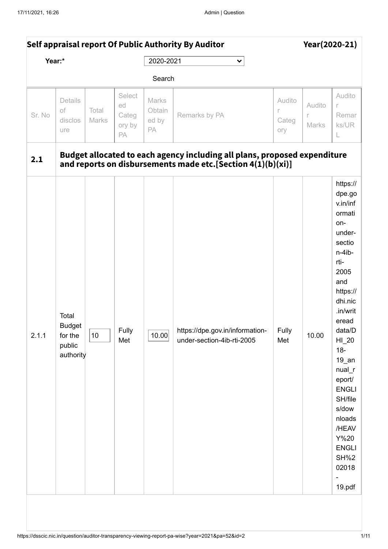<span id="page-19-0"></span>

|        |                                                          |                |                                       | Self appraisal report Of Public Authority By Auditor |                                                                                                                                          |                             | Year(2020-21)        |                                                                                                                                                                                                                                                                                                                                        |  |
|--------|----------------------------------------------------------|----------------|---------------------------------------|------------------------------------------------------|------------------------------------------------------------------------------------------------------------------------------------------|-----------------------------|----------------------|----------------------------------------------------------------------------------------------------------------------------------------------------------------------------------------------------------------------------------------------------------------------------------------------------------------------------------------|--|
|        | Year:*                                                   |                |                                       | 2020-2021                                            | $\checkmark$                                                                                                                             |                             |                      |                                                                                                                                                                                                                                                                                                                                        |  |
|        |                                                          |                |                                       | Search                                               |                                                                                                                                          |                             |                      |                                                                                                                                                                                                                                                                                                                                        |  |
| Sr. No | Details<br>of<br>disclos<br>ure                          | Total<br>Marks | Select<br>ed<br>Categ<br>ory by<br>PA | Marks<br>Obtain<br>ed by<br>PA                       | Remarks by PA                                                                                                                            | Audito<br>r<br>Categ<br>ory | Audito<br>r<br>Marks | Audito<br>r<br>Remar<br>ks/UR<br>L                                                                                                                                                                                                                                                                                                     |  |
| 2.1    |                                                          |                |                                       |                                                      | Budget allocated to each agency including all plans, proposed expenditure<br>and reports on disbursements made etc.[Section 4(1)(b)(xi)] |                             |                      |                                                                                                                                                                                                                                                                                                                                        |  |
| 2.1.1  | Total<br><b>Budget</b><br>for the<br>public<br>authority | 10             | Fully<br>Met                          | 10.00                                                | https://dpe.gov.in/information-<br>under-section-4ib-rti-2005                                                                            | Fully<br>Met                | 10.00                | https://<br>dpe.go<br>v.in/inf<br>ormati<br>on-<br>under-<br>sectio<br>n-4ib-<br>rti-<br>2005<br>and<br>https://<br>dhi.nic<br>.in/writ<br>eread<br>data/D<br>$HI_20$<br>$18-$<br>$19$ _an<br>$nual_r$<br>eport/<br><b>ENGLI</b><br>SH/file<br>s/dow<br>nloads<br>/HEAV<br>Y%20<br><b>ENGLI</b><br><b>SH%2</b><br>02018<br>-<br>19.pdf |  |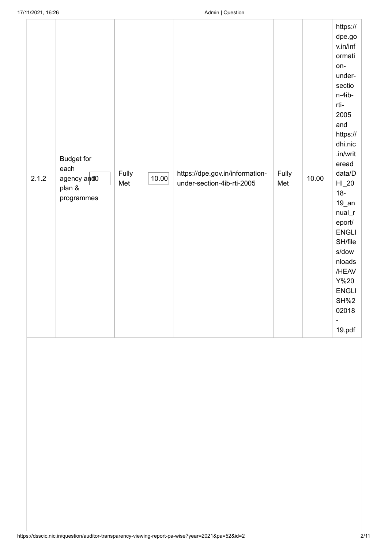| 2.1.2 | Budget for<br>each<br>agency and0<br>plan &<br>programmes | Fully<br>Met | 10.00 | https://dpe.gov.in/information-<br>under-section-4ib-rti-2005 | Fully<br>Met | 10.00 | https://<br>dpe.go<br>v.in/inf<br>ormati<br>on-<br>under-<br>sectio<br>n-4ib-<br>rti-<br>2005<br>and<br>https://<br>dhi.nic<br>.in/writ<br>eread<br>data/D<br>$HI_20$<br>$18-$<br>$19$ _an<br>$nual_r$<br>eport/<br><b>ENGLI</b><br>SH/file<br>s/dow<br>nloads<br>/HEAV<br>Y%20<br><b>ENGLI</b><br><b>SH%2</b><br>02018<br>$\qquad \qquad -$<br>19.pdf |
|-------|-----------------------------------------------------------|--------------|-------|---------------------------------------------------------------|--------------|-------|--------------------------------------------------------------------------------------------------------------------------------------------------------------------------------------------------------------------------------------------------------------------------------------------------------------------------------------------------------|
|       |                                                           |              |       |                                                               |              |       |                                                                                                                                                                                                                                                                                                                                                        |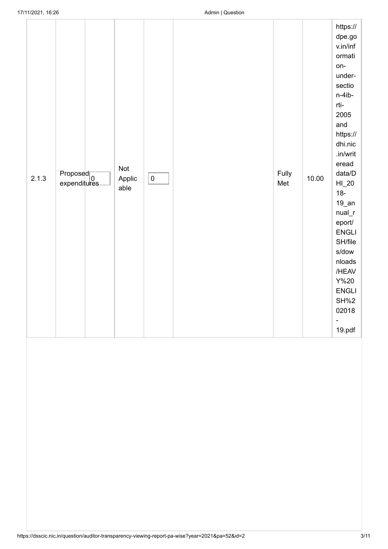| 2.1.3 | Proposed<br>expenditures | Not<br>Applic<br>able | $\pmb{0}$ | Fully<br>Met | 10.00 | https://<br>dpe.gov<br>v.in/inf<br>ormati<br>on-<br>under-<br>sectio<br>n-4ib-<br>rti-<br>2005<br>and<br>https://<br>dhi.nic<br>.in/writ<br>eread<br>data/D<br>$HI_20$<br>$18-$<br>$19$ _an<br>$nual_r$<br>eport/<br><b>ENGLI</b><br>SH/file<br>s/dow<br>nloads<br>/HEAV<br>$Y\%20$<br><b>ENGLI</b><br>SH%2<br>02018<br>$\overline{\phantom{a}}$<br>19.pdf |
|-------|--------------------------|-----------------------|-----------|--------------|-------|------------------------------------------------------------------------------------------------------------------------------------------------------------------------------------------------------------------------------------------------------------------------------------------------------------------------------------------------------------|
|       |                          |                       |           |              |       |                                                                                                                                                                                                                                                                                                                                                            |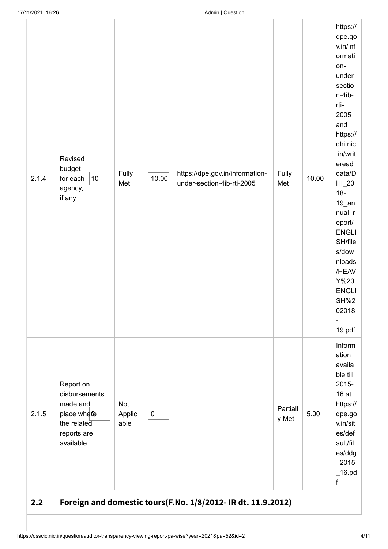| 2.1.4 | Revised<br>budget<br>$10$<br>for each<br>agency,<br>if any                                       | Fully<br>Met          | 10.00     | https://dpe.gov.in/information-<br>under-section-4ib-rti-2005 | Fully<br>Met      | 10.00 | https://<br>dpe.go<br>v.in/inf<br>ormati<br>on-<br>under-<br>sectio<br>n-4ib-<br>rti-<br>2005<br>and<br>https://<br>dhi.nic<br>.in/writ<br>eread<br>data/D<br>$HI_20$<br>$18-$<br>$19$ _an<br>$nual_r$<br>eport/<br><b>ENGLI</b><br>SH/file<br>s/dow<br>nloads<br>/HEAV<br>Y%20<br><b>ENGLI</b><br><b>SH%2</b><br>02018<br>$\overline{a}$<br>19.pdf |
|-------|--------------------------------------------------------------------------------------------------|-----------------------|-----------|---------------------------------------------------------------|-------------------|-------|-----------------------------------------------------------------------------------------------------------------------------------------------------------------------------------------------------------------------------------------------------------------------------------------------------------------------------------------------------|
| 2.1.5 | Report on<br>disbursements<br>made and<br>place where<br>the related<br>reports are<br>available | Not<br>Applic<br>able | $\pmb{0}$ |                                                               | Partiall<br>y Met | 5.00  | Inform<br>ation<br>availa<br>ble till<br>2015-<br>16 at<br>https://<br>dpe.go<br>v.in/sit<br>es/def<br>ault/fil<br>es/ddg<br>$2015$<br>$\_16.pdf$<br>f                                                                                                                                                                                              |
| 2.2   |                                                                                                  |                       |           | Foreign and domestic tours(F.No. 1/8/2012- IR dt. 11.9.2012)  |                   |       |                                                                                                                                                                                                                                                                                                                                                     |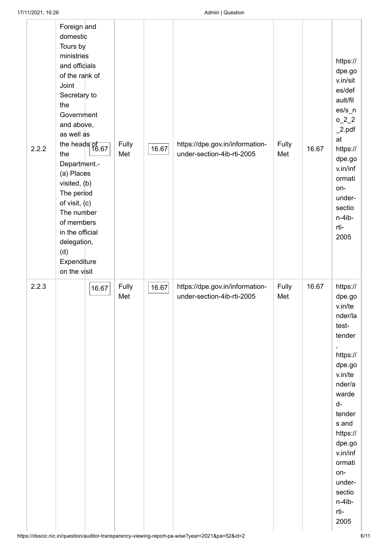| 2.2.2 | Foreign and<br>domestic<br>Tours by<br>ministries<br>and officials<br>of the rank of<br>Joint<br>Secretary to<br>the<br>Government<br>and above,<br>as well as<br>the heads of<br>$\frac{1}{16.67}$<br>the<br>Department.-<br>(a) Places<br>visited, (b)<br>The period<br>of visit, $(c)$<br>The number<br>of members<br>in the official<br>delegation,<br>(d)<br>Expenditure<br>on the visit |       | Fully<br>Met | 16.67 | https://dpe.gov.in/information-<br>under-section-4ib-rti-2005 | Fully<br>Met | 16.67 | https://<br>dpe.go<br>v.in/sit<br>es/def<br>ault/fil<br>$\text{es/s}_n$<br>$0_2$ $2_2$<br>2.pdf<br>at<br>https://<br>dpe.go<br>v.in/inf<br>ormati<br>on-<br>under-<br>sectio<br>n-4ib-<br>rti-<br>2005                                         |
|-------|-----------------------------------------------------------------------------------------------------------------------------------------------------------------------------------------------------------------------------------------------------------------------------------------------------------------------------------------------------------------------------------------------|-------|--------------|-------|---------------------------------------------------------------|--------------|-------|------------------------------------------------------------------------------------------------------------------------------------------------------------------------------------------------------------------------------------------------|
| 2.2.3 |                                                                                                                                                                                                                                                                                                                                                                                               | 16.67 | Fully<br>Met | 16.67 | https://dpe.gov.in/information-<br>under-section-4ib-rti-2005 | Fully<br>Met | 16.67 | https://<br>dpe.go<br>v.in/te<br>nder/la<br>test-<br>tender<br>,<br>https://<br>dpe.go<br>v.in/te<br>nder/a<br>warde<br>d-<br>tender<br>s and<br>https://<br>dpe.go<br>v.in/inf<br>ormati<br>on-<br>under-<br>sectio<br>n-4ib-<br>rti-<br>2005 |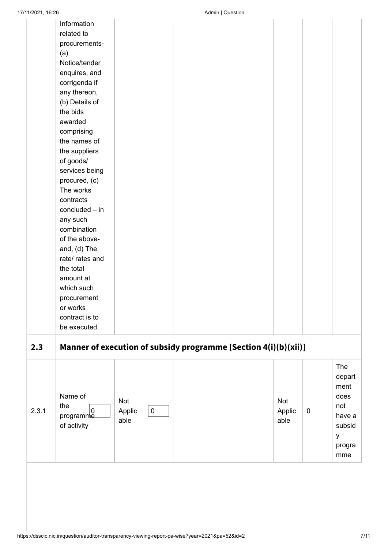|     | 17/11/2021, 16:26          |        |           | Admin   Question                                                |        |          |        |
|-----|----------------------------|--------|-----------|-----------------------------------------------------------------|--------|----------|--------|
|     | Information                |        |           |                                                                 |        |          |        |
|     | related to                 |        |           |                                                                 |        |          |        |
|     | procurements-              |        |           |                                                                 |        |          |        |
|     | (a)                        |        |           |                                                                 |        |          |        |
|     | Notice/tender              |        |           |                                                                 |        |          |        |
|     | enquires, and              |        |           |                                                                 |        |          |        |
|     | corrigenda if              |        |           |                                                                 |        |          |        |
|     | any thereon,               |        |           |                                                                 |        |          |        |
|     |                            |        |           |                                                                 |        |          |        |
|     | (b) Details of<br>the bids |        |           |                                                                 |        |          |        |
|     |                            |        |           |                                                                 |        |          |        |
|     | awarded                    |        |           |                                                                 |        |          |        |
|     | comprising                 |        |           |                                                                 |        |          |        |
|     | the names of               |        |           |                                                                 |        |          |        |
|     | the suppliers              |        |           |                                                                 |        |          |        |
|     | of goods/                  |        |           |                                                                 |        |          |        |
|     | services being             |        |           |                                                                 |        |          |        |
|     | procured, (c)              |        |           |                                                                 |        |          |        |
|     | The works                  |        |           |                                                                 |        |          |        |
|     | contracts                  |        |           |                                                                 |        |          |        |
|     | concluded $-$ in           |        |           |                                                                 |        |          |        |
|     | any such                   |        |           |                                                                 |        |          |        |
|     | combination                |        |           |                                                                 |        |          |        |
|     | of the above-              |        |           |                                                                 |        |          |        |
|     | and, $(d)$ The             |        |           |                                                                 |        |          |        |
|     | rate/ rates and            |        |           |                                                                 |        |          |        |
|     | the total                  |        |           |                                                                 |        |          |        |
|     | amount at                  |        |           |                                                                 |        |          |        |
|     | which such                 |        |           |                                                                 |        |          |        |
|     | procurement                |        |           |                                                                 |        |          |        |
|     | or works                   |        |           |                                                                 |        |          |        |
|     | contract is to             |        |           |                                                                 |        |          |        |
|     | be executed.               |        |           |                                                                 |        |          |        |
|     |                            |        |           |                                                                 |        |          |        |
|     |                            |        |           |                                                                 |        |          |        |
| 2.3 |                            |        |           | Manner of execution of subsidy programme [Section 4(i)(b)(xii)] |        |          |        |
|     |                            |        |           |                                                                 |        |          |        |
|     |                            |        |           |                                                                 |        |          | The    |
|     |                            |        |           |                                                                 |        |          | depart |
|     |                            |        |           |                                                                 |        |          | ment   |
|     | Name of                    | Not    |           |                                                                 | Not    |          | does   |
|     | the<br>2.3.1<br>$\pmb{0}$  | Applic | $\pmb{0}$ |                                                                 | Applic | $\bf{0}$ | not    |
|     | programme                  | able   |           |                                                                 | able   |          | have a |
|     | of activity                |        |           |                                                                 |        |          | subsid |
|     |                            |        |           |                                                                 |        |          | y      |
|     |                            |        |           |                                                                 |        |          | progra |
|     |                            |        |           |                                                                 |        |          | mme    |
|     |                            |        |           |                                                                 |        |          |        |
|     |                            |        |           |                                                                 |        |          |        |
|     |                            |        |           |                                                                 |        |          |        |
|     |                            |        |           |                                                                 |        |          |        |
|     |                            |        |           |                                                                 |        |          |        |
|     |                            |        |           |                                                                 |        |          |        |
|     |                            |        |           |                                                                 |        |          |        |
|     |                            |        |           |                                                                 |        |          |        |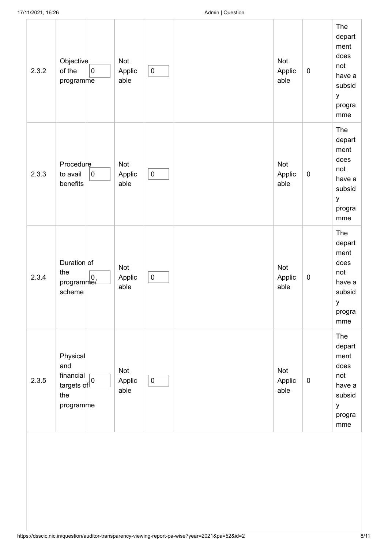| 2.3.2 | Objective<br>$\overline{0}$<br>of the<br>programme                                    | Not<br>Applic<br>able        | $\pmb{0}$ | Not<br>Applic<br>able | $\pmb{0}$ | The<br>depart<br>ment<br>does<br>not<br>have a<br>subsid<br>y<br>progra<br>mme |
|-------|---------------------------------------------------------------------------------------|------------------------------|-----------|-----------------------|-----------|--------------------------------------------------------------------------------|
| 2.3.3 | <b>Procedure</b><br>$\pmb{0}$<br>to avail<br>benefits                                 | Not<br>Applic<br>able        | $\pmb{0}$ | Not<br>Applic<br>able | $\pmb{0}$ | The<br>depart<br>ment<br>does<br>not<br>have a<br>subsid<br>У<br>progra<br>mme |
| 2.3.4 | Duration of<br>the<br>$\mathsf{program}\begin{vmatrix} 0 \\ m\end{vmatrix}$<br>scheme | <b>Not</b><br>Applic<br>able | $\pmb{0}$ | Not<br>Applic<br>able | $\pmb{0}$ | The<br>depart<br>ment<br>does<br>not<br>have a<br>subsid<br>у<br>progra<br>mme |
| 2.3.5 | Physical<br>and<br>financial <sub>0</sub><br>targets of<br>the<br>programme           | <b>Not</b><br>Applic<br>able | $\pmb{0}$ | Not<br>Applic<br>able | $\pmb{0}$ | The<br>depart<br>ment<br>does<br>not<br>have a<br>subsid<br>У<br>progra<br>mme |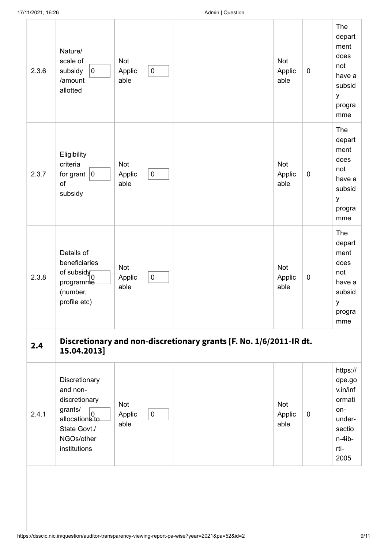| 2.3.6 | Nature/<br>scale of<br>$ 0\rangle$<br>subsidy<br>/amount<br>allotted                                                                                                                                                   | Not<br>Applic<br>able        | $\pmb{0}$ |                                                                    | Not<br>Applic<br>able        | $\pmb{0}$   | The<br>depart<br>ment<br>does<br>not<br>have a<br>subsid<br>y<br>progra<br>mme                |
|-------|------------------------------------------------------------------------------------------------------------------------------------------------------------------------------------------------------------------------|------------------------------|-----------|--------------------------------------------------------------------|------------------------------|-------------|-----------------------------------------------------------------------------------------------|
| 2.3.7 | Eligibility<br>criteria<br>for grant $ 0 $<br>of<br>subsidy                                                                                                                                                            | Not<br>Applic<br>able        | $\pmb{0}$ |                                                                    | Not<br>Applic<br>able        | $\pmb{0}$   | The<br>depart<br>ment<br>does<br>not<br>have a<br>subsid<br>y<br>progra<br>mme                |
| 2.3.8 | Details of<br>beneficiaries<br>of subsidy<br>programme<br>(number,<br>profile etc)                                                                                                                                     | Not<br>Applic<br>able        | $\pmb{0}$ |                                                                    | <b>Not</b><br>Applic<br>able | $\pmb{0}$   | The<br>depart<br>ment<br>does<br>not<br>have a<br>subsid<br>у<br>progra<br>mme                |
| 2.4   | 15.04.2013]                                                                                                                                                                                                            |                              |           | Discretionary and non-discretionary grants [F. No. 1/6/2011-IR dt. |                              |             |                                                                                               |
| 2.4.1 | Discretionary<br>and non-<br>discretionary<br>grants/<br>$\begin{array}{c} \text{S}^{r \text{}{a} \cdot \text{}{i} \cdot \text{s}} \\ \text{allocations to} \end{array}$<br>State Govt./<br>NGOs/other<br>institutions | <b>Not</b><br>Applic<br>able | $\pmb{0}$ |                                                                    | Not<br>Applic<br>able        | $\mathbf 0$ | https://<br>dpe.go<br>v.in/inf<br>ormati<br>on-<br>under-<br>sectio<br>n-4ib-<br>rti-<br>2005 |
|       |                                                                                                                                                                                                                        |                              |           |                                                                    |                              |             |                                                                                               |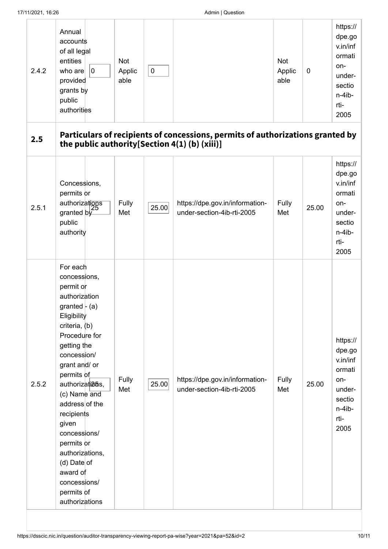| 2.4.2 | Annual<br>accounts<br>of all legal<br>entities<br>who are<br>0<br>provided<br>grants by<br>public<br>authorities                                                                                                                                                                                                                                                                                                      | Not<br>Applic<br>able | $\pmb{0}$ |                                                                                | Not<br>Applic<br>able | $\mathbf 0$ | https://<br>dpe.go<br>v.in/inf<br>ormati<br>on-<br>under-<br>sectio<br>n-4ib-<br>rti-<br>2005 |
|-------|-----------------------------------------------------------------------------------------------------------------------------------------------------------------------------------------------------------------------------------------------------------------------------------------------------------------------------------------------------------------------------------------------------------------------|-----------------------|-----------|--------------------------------------------------------------------------------|-----------------------|-------------|-----------------------------------------------------------------------------------------------|
| 2.5   | the public authority[Section 4(1) (b) (xiii)]                                                                                                                                                                                                                                                                                                                                                                         |                       |           | Particulars of recipients of concessions, permits of authorizations granted by |                       |             |                                                                                               |
| 2.5.1 | Concessions,<br>permits or<br>authorizations<br>granted by<br>public<br>authority                                                                                                                                                                                                                                                                                                                                     | Fully<br>Met          | 25.00     | https://dpe.gov.in/information-<br>under-section-4ib-rti-2005                  | Fully<br>Met          | 25.00       | https://<br>dpe.go<br>v.in/inf<br>ormati<br>on-<br>under-<br>sectio<br>n-4ib-<br>rti-<br>2005 |
| 2.5.2 | For each<br>concessions,<br>permit or<br>authorization<br>granted $\vdash$ (a)<br>Eligibility<br>criteria, $(b)$<br>Procedure for<br>getting the<br>concession/<br>grant and/ or<br>permits of<br>authorizati <sub>25s</sub> ,<br>(c) Name and<br>address of the<br>recipients<br>given<br>concessions/<br>permits or<br>authorizations,<br>$(d)$ Date of<br>award of<br>concessions/<br>permits of<br>authorizations | Fully<br>Met          | 25.00     | https://dpe.gov.in/information-<br>under-section-4ib-rti-2005                  | Fully<br>Met          | 25.00       | https://<br>dpe.go<br>v.in/inf<br>ormati<br>on-<br>under-<br>sectio<br>n-4ib-<br>rti-<br>2005 |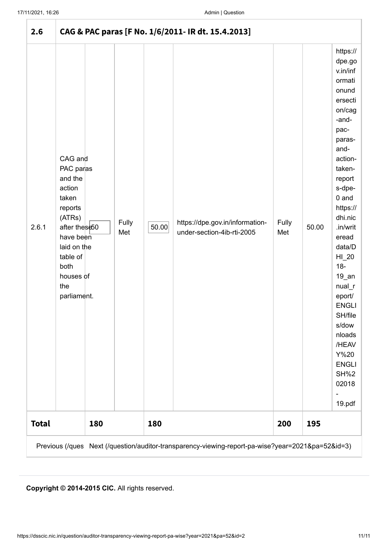| 2.6          |                                                                                                                                                                             |              |       | CAG & PAC paras [F No. 1/6/2011- IR dt. 15.4.2013]                                                |              |       |                                                                                                                                                                                                                                                                                                                                                                                        |
|--------------|-----------------------------------------------------------------------------------------------------------------------------------------------------------------------------|--------------|-------|---------------------------------------------------------------------------------------------------|--------------|-------|----------------------------------------------------------------------------------------------------------------------------------------------------------------------------------------------------------------------------------------------------------------------------------------------------------------------------------------------------------------------------------------|
| 2.6.1        | CAG and<br>PAC paras<br>and the<br>action<br>taken<br>reports<br>(ATRs)<br>after these50<br>have been<br>laid on the<br>table of<br>both<br>houses of<br>the<br>parliament. | Fully<br>Met | 50.00 | https://dpe.gov.in/information-<br>under-section-4ib-rti-2005                                     | Fully<br>Met | 50.00 | https://<br>dpe.go<br>v.in/inf<br>ormati<br>onund<br>ersecti<br>on/cag<br>-and-<br>pac-<br>paras-<br>and-<br>action-<br>taken-<br>report<br>s-dpe-<br>$0$ and<br>https://<br>dhi.nic<br>.in/writ<br>eread<br>data/D<br>$HI_20$<br>$18-$<br>$19$ _an<br>nual<br>eport/<br><b>ENGLI</b><br>SH/file<br>s/dow<br>nloads<br>/HEAV<br>Y%20<br><b>ENGLI</b><br><b>SH%2</b><br>02018<br>19.pdf |
| <b>Total</b> | 180                                                                                                                                                                         |              | 180   |                                                                                                   | 200          | 195   |                                                                                                                                                                                                                                                                                                                                                                                        |
|              |                                                                                                                                                                             |              |       | Previous (/ques Next (/question/auditor-transparency-viewing-report-pa-wise?year=2021&pa=52&id=3) |              |       |                                                                                                                                                                                                                                                                                                                                                                                        |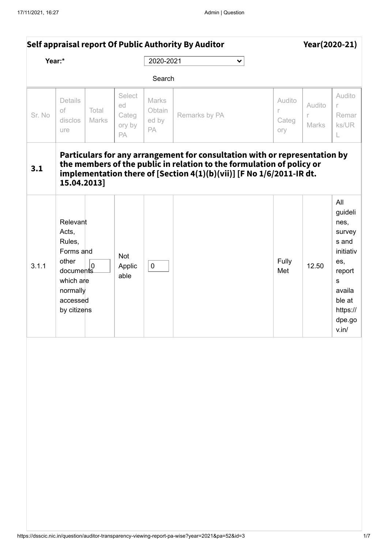<span id="page-30-0"></span>

|        | Self appraisal report Of Public Authority By Auditor                                                                                 |                                       |                                |                                                                                                                                                                                                                             |                                    | Year(2020-21)        |                                                                                                                                 |
|--------|--------------------------------------------------------------------------------------------------------------------------------------|---------------------------------------|--------------------------------|-----------------------------------------------------------------------------------------------------------------------------------------------------------------------------------------------------------------------------|------------------------------------|----------------------|---------------------------------------------------------------------------------------------------------------------------------|
| Year:* |                                                                                                                                      |                                       | 2020-2021                      | $\checkmark$                                                                                                                                                                                                                |                                    |                      |                                                                                                                                 |
|        |                                                                                                                                      |                                       | Search                         |                                                                                                                                                                                                                             |                                    |                      |                                                                                                                                 |
| Sr. No | Details<br>of<br>Total<br>Marks<br>disclos<br>ure                                                                                    | Select<br>ed<br>Categ<br>ory by<br>PA | Marks<br>Obtain<br>ed by<br>PA | Remarks by PA                                                                                                                                                                                                               | Audito<br>$\Gamma$<br>Categ<br>ory | Audito<br>r<br>Marks | Audito<br>r<br>Remar<br>ks/UR<br>L                                                                                              |
| 3.1    | 15.04.2013]                                                                                                                          |                                       |                                | Particulars for any arrangement for consultation with or representation by<br>the members of the public in relation to the formulation of policy or<br>implementation there of [Section 4(1)(b)(vii)] [F No 1/6/2011-IR dt. |                                    |                      |                                                                                                                                 |
| 3.1.1  | Relevant<br>Acts,<br>Rules,<br>Forms and<br>other<br>$\overline{0}$<br>documents<br>which are<br>normally<br>accessed<br>by citizens | Not<br>Applic<br>able                 | $\mathbf 0$                    |                                                                                                                                                                                                                             | Fully<br>Met                       | 12.50                | All<br>guideli<br>nes,<br>survey<br>s and<br>initiativ<br>es,<br>report<br>S<br>availa<br>ble at<br>https://<br>dpe.go<br>v.in/ |
|        |                                                                                                                                      |                                       |                                |                                                                                                                                                                                                                             |                                    |                      |                                                                                                                                 |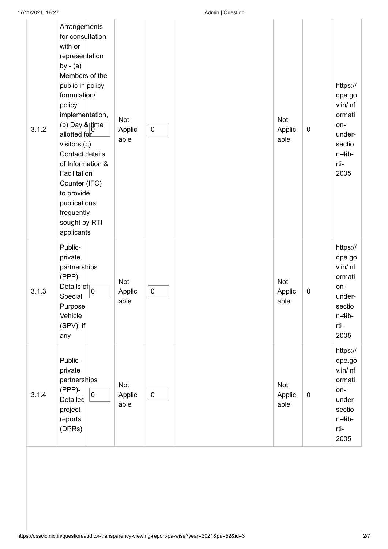| 3.1.2 | Arrangements<br>for consultation<br>with or<br>representation<br>by $-$ (a)<br>Members of the<br>public in policy<br>formulation/<br>policy<br>implementation,<br>(b) Day & time<br>allotted for<br>visitors,(c)<br>Contact details<br>of Information &<br>Facilitation<br>Counter (IFC)<br>to provide<br>publications<br>frequently<br>sought by RTI<br>applicants | <b>Not</b><br>Applic<br>able | $\pmb{0}$ | Not<br>Applic<br>able        | $\pmb{0}$        | https://<br>dpe.go<br>v.in/inf<br>ormati<br>on-<br>under-<br>sectio<br>n-4ib-<br>rti-<br>2005 |
|-------|---------------------------------------------------------------------------------------------------------------------------------------------------------------------------------------------------------------------------------------------------------------------------------------------------------------------------------------------------------------------|------------------------------|-----------|------------------------------|------------------|-----------------------------------------------------------------------------------------------|
| 3.1.3 | Public-<br>private<br>partnerships<br>(PPP)-<br>Details of $\sqrt{\frac{1}{0}}$<br>Special<br>Purpose<br>Vehicle<br>$(SPV)$ , if<br>any                                                                                                                                                                                                                             | <b>Not</b><br>Applic<br>able | $\pmb{0}$ | Not<br>Applic<br>able        | $\boldsymbol{0}$ | https://<br>dpe.go<br>v.in/inf<br>ormati<br>on-<br>under-<br>sectio<br>n-4ib-<br>rti-<br>2005 |
| 3.1.4 | Public-<br>private<br>partnerships<br>(PPP)-<br>$\pmb{0}$<br>Detailed<br>project<br>reports<br>(DPRs)                                                                                                                                                                                                                                                               | Not<br>Applic<br>able        | $\pmb{0}$ | <b>Not</b><br>Applic<br>able | $\pmb{0}$        | https://<br>dpe.go<br>v.in/inf<br>ormati<br>on-<br>under-<br>sectio<br>n-4ib-<br>rti-<br>2005 |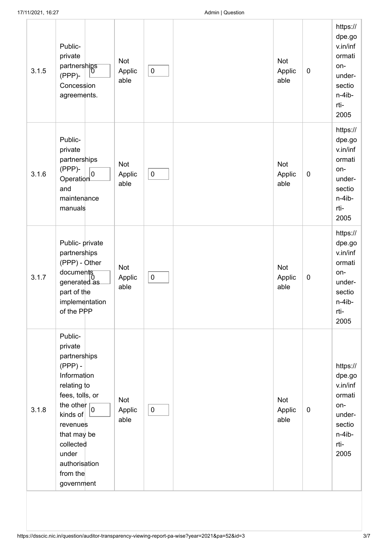| 3.1.5 | Public-<br>private<br>partnerships<br>(PPP)-<br>Concession<br>agreements.                                                                                                                                                         | Not<br>Applic<br>able | $\pmb{0}$ | Not<br>Applic<br>able | $\pmb{0}$   | https://<br>dpe.go<br>v.in/inf<br>ormati<br>on-<br>under-<br>sectio<br>n-4ib-<br>rti-<br>2005 |
|-------|-----------------------------------------------------------------------------------------------------------------------------------------------------------------------------------------------------------------------------------|-----------------------|-----------|-----------------------|-------------|-----------------------------------------------------------------------------------------------|
| 3.1.6 | Public-<br>private<br>partnerships<br>(PPP)-<br>Operation<br>and<br>maintenance<br>manuals                                                                                                                                        | Not<br>Applic<br>able | $\pmb{0}$ | Not<br>Applic<br>able | $\pmb{0}$   | https://<br>dpe.go<br>v.in/inf<br>ormati<br>on-<br>under-<br>sectio<br>n-4ib-<br>rti-<br>2005 |
| 3.1.7 | Public- private<br>partnerships<br>(PPP) - Other<br>documents<br>generated as<br>part of the<br>implementation<br>of the PPP                                                                                                      | Not<br>Applic<br>able | $\pmb{0}$ | Not<br>Applic<br>able | $\pmb{0}$   | https://<br>dpe.go<br>v.in/inf<br>ormati<br>on-<br>under-<br>sectio<br>n-4ib-<br>rti-<br>2005 |
| 3.1.8 | Public-<br>private<br>partnerships<br>$(PPP)$ -<br>Information<br>relating to<br>fees, tolls, or<br>the other $\boxed{0}$<br>kinds of<br>revenues<br>that may be<br>collected<br>under<br>authorisation<br>from the<br>government | Not<br>Applic<br>able | $\pmb{0}$ | Not<br>Applic<br>able | $\mathbf 0$ | https://<br>dpe.go<br>v.in/inf<br>ormati<br>on-<br>under-<br>sectio<br>n-4ib-<br>rti-<br>2005 |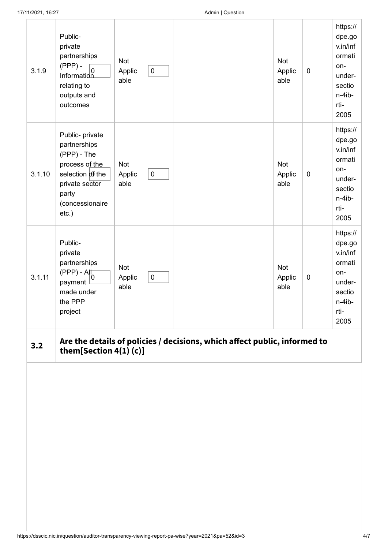| 3.1.9  | Public-<br>private<br>partnerships<br>$(PPP)$ -<br>$\left.\begin{array}{cc} \sqrt{1+1} & 7 \\ \sqrt{1+1} & 0 \end{array}\right $<br>relating to<br>outputs and<br>outcomes | Not<br>Applic<br>able        | $\pmb{0}$ |                                                                           | Not<br>Applic<br>able | $\mathbf 0$ | https://<br>dpe.go<br>v.in/inf<br>ormati<br>on-<br>under-<br>sectio<br>n-4ib-<br>rti-<br>2005 |
|--------|----------------------------------------------------------------------------------------------------------------------------------------------------------------------------|------------------------------|-----------|---------------------------------------------------------------------------|-----------------------|-------------|-----------------------------------------------------------------------------------------------|
| 3.1.10 | Public- private<br>partnerships<br>$(PPP) - The$<br>process of the<br>selection of the<br>private sector<br>party<br>(concessionaire<br>etc.)                              | Not<br>Applic<br>able        | $\pmb{0}$ |                                                                           | Not<br>Applic<br>able | $\mathbf 0$ | https://<br>dpe.go<br>v.in/inf<br>ormati<br>on-<br>under-<br>sectio<br>n-4ib-<br>rti-<br>2005 |
| 3.1.11 | Public-<br>private<br>partnerships<br>$(PPP) - AH$<br>payment<br>made under<br>the PPP<br>project                                                                          | <b>Not</b><br>Applic<br>able | $\pmb{0}$ |                                                                           | Not<br>Applic<br>able | $\pmb{0}$   | https://<br>dpe.go<br>v.in/inf<br>ormati<br>on-<br>under-<br>sectio<br>n-4ib-<br>rti-<br>2005 |
| 3.2    | them[Section 4(1)(c)]                                                                                                                                                      |                              |           | Are the details of policies / decisions, which affect public, informed to |                       |             |                                                                                               |
|        |                                                                                                                                                                            |                              |           |                                                                           |                       |             |                                                                                               |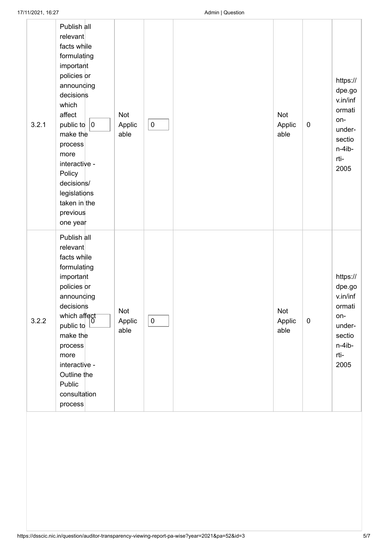| 3.2.1 | Publish all<br>relevant<br>facts while<br>formulating<br>important<br>policies or<br>announding<br>decisions<br>which<br>affect<br>public to $ 0 $<br>make the<br>process<br>more<br>interactive -<br>Policy<br>decisions/<br>legislations<br>taken in the<br>previous<br>one year | Not<br>Applic<br>able | $\pmb{0}$ | Not<br>Applic<br>able | $\pmb{0}$   | https://<br>dpe.go<br>v.in/inf<br>ormati<br>on-<br>under-<br>sectio<br>n-4ib-<br>rti-<br>2005 |
|-------|------------------------------------------------------------------------------------------------------------------------------------------------------------------------------------------------------------------------------------------------------------------------------------|-----------------------|-----------|-----------------------|-------------|-----------------------------------------------------------------------------------------------|
| 3.2.2 | Publish all<br>relevant<br>facts while<br>formulating<br>important<br>policies or<br>announcing<br>decisions<br>which affect<br>public to<br>make the<br>process<br>more<br>interactive -<br>Outline the<br>Public<br>consultation<br>process                                      | Not<br>Applic<br>able | $\pmb{0}$ | Not<br>Applic<br>able | $\mathbf 0$ | https://<br>dpe.go<br>v.in/inf<br>ormati<br>on-<br>under-<br>sectio<br>n-4ib-<br>rti-<br>2005 |
|       |                                                                                                                                                                                                                                                                                    |                       |           |                       |             |                                                                                               |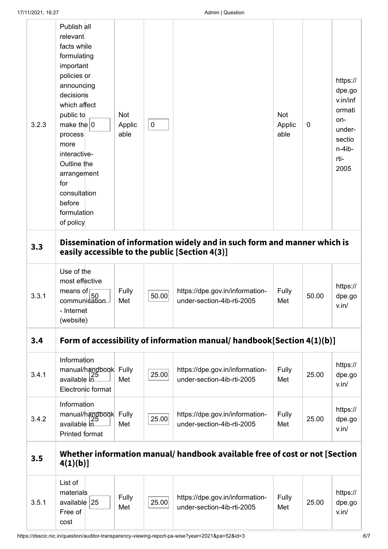| 3.2.3 | Publish all<br>relevant<br>facts while<br>formulating<br>important<br>policies or<br>announding<br>decisions<br>which affect<br>public to<br>make the $ 0 $<br>process<br>more<br>interactive-<br>Outline the<br>arrangement<br>for<br>consultation<br>before<br>formulation<br>of policy | Not<br>Applic<br>able | $\mathbf 0$ |                                                                                                                            | Not<br>Applic<br>able | 0     | https://<br>dpe.go<br>v.in/inf<br>ormati<br>on-<br>under-<br>sectio<br>n-4ib-<br>rti-<br>2005 |
|-------|-------------------------------------------------------------------------------------------------------------------------------------------------------------------------------------------------------------------------------------------------------------------------------------------|-----------------------|-------------|----------------------------------------------------------------------------------------------------------------------------|-----------------------|-------|-----------------------------------------------------------------------------------------------|
| 3.3   |                                                                                                                                                                                                                                                                                           |                       |             | Dissemination of information widely and in such form and manner which is<br>easily accessible to the public [Section 4(3)] |                       |       |                                                                                               |
| 3.3.1 | Use of the<br>most effective<br>means of<br>communication<br>- Internet<br>(website)                                                                                                                                                                                                      | Fully<br>Met          | 50.00       | https://dpe.gov.in/information-<br>under-section-4ib-rti-2005                                                              | Fully<br>Met          | 50.00 | https://<br>dpe.go<br>v.in/                                                                   |
| 3,4   |                                                                                                                                                                                                                                                                                           |                       |             | Form of accessibility of information manual/ handbook[Section 4(1)(b)]                                                     |                       |       |                                                                                               |
| 3.4.1 | Information<br>manual/handbook Fully<br>available in<br>Electronic format                                                                                                                                                                                                                 | Met                   | 25.00       | https://dpe.gov.in/information-<br>under-section-4ib-rti-2005                                                              | Fully<br>Met          | 25.00 | https://<br>dpe.go<br>v.in/                                                                   |
| 3.4.2 | Information<br>manual/handbook Fully<br>available in<br>Printed format                                                                                                                                                                                                                    | Met                   | 25.00       | https://dpe.gov.in/information-<br>under-section-4ib-rti-2005                                                              | Fully<br>Met          | 25.00 | https://<br>dpe.go<br>v.in/                                                                   |
| 3.5   | 4(1)(b)                                                                                                                                                                                                                                                                                   |                       |             | Whether information manual/ handbook available free of cost or not [Section                                                |                       |       |                                                                                               |
| 3.5.1 | List of<br>materials<br>available $ 25 $<br>Free of<br>cost                                                                                                                                                                                                                               | Fully<br>Met          | 25.00       | https://dpe.gov.in/information-<br>under-section-4ib-rti-2005                                                              | Fully<br>Met          | 25.00 | https://<br>dpe.go<br>v.in/                                                                   |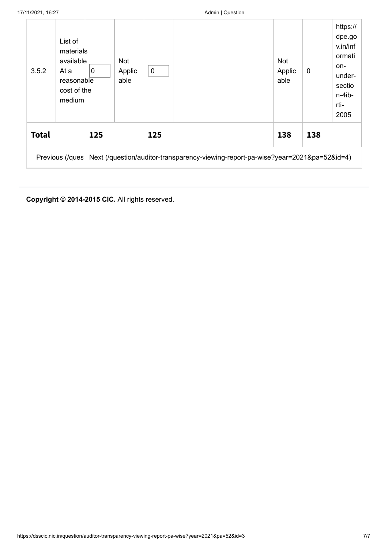| 3.5.2        | List of<br>materials<br>available<br>At a<br>reasonable<br>cost of the<br>medium | $\overline{0}$ | Not<br>Applic<br>able | $\pmb{0}$ |                                                                                                   | <b>Not</b><br>Applic<br>able | 0   | https://<br>dpe.go<br>v.in/inf<br>ormati<br>on-<br>under-<br>sectio<br>$n-4$ ib-<br>rti-<br>2005 |
|--------------|----------------------------------------------------------------------------------|----------------|-----------------------|-----------|---------------------------------------------------------------------------------------------------|------------------------------|-----|--------------------------------------------------------------------------------------------------|
| <b>Total</b> |                                                                                  | 125            |                       | 125       |                                                                                                   | 138                          | 138 |                                                                                                  |
|              |                                                                                  |                |                       |           | Previous (/ques Next (/question/auditor-transparency-viewing-report-pa-wise?year=2021&pa=52&id=4) |                              |     |                                                                                                  |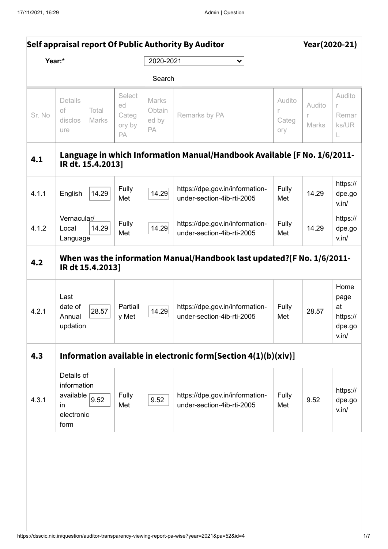<span id="page-37-0"></span>

|                                                                                                   | Self appraisal report Of Public Authority By Auditor               |                   |                                       |                                |                                                                          |                             | Year(2020-21)   |                                                   |  |  |
|---------------------------------------------------------------------------------------------------|--------------------------------------------------------------------|-------------------|---------------------------------------|--------------------------------|--------------------------------------------------------------------------|-----------------------------|-----------------|---------------------------------------------------|--|--|
| Year:*                                                                                            |                                                                    |                   |                                       | 2020-2021<br>$\checkmark$      |                                                                          |                             |                 |                                                   |  |  |
|                                                                                                   |                                                                    |                   |                                       |                                | Search                                                                   |                             |                 |                                                   |  |  |
| Sr. No                                                                                            | <b>Details</b><br>of<br>disclos<br>ure                             | Total<br>Marks    | Select<br>ed<br>Categ<br>ory by<br>PA | Marks<br>Obtain<br>ed by<br>PA | Remarks by PA                                                            | Audito<br>r<br>Categ<br>ory | Audito<br>Marks | Audito<br>r<br>Remar<br>ks/UR<br>L                |  |  |
| 4.1                                                                                               |                                                                    | IR dt. 15.4.2013] |                                       |                                | Language in which Information Manual/Handbook Available [F No. 1/6/2011- |                             |                 |                                                   |  |  |
| 4.1.1                                                                                             | English                                                            | 14.29             | Fully<br>Met                          | 14.29                          | https://dpe.gov.in/information-<br>under-section-4ib-rti-2005            | Fully<br>Met                | 14.29           | https://<br>dpe.go<br>v.in/                       |  |  |
| 4.1.2                                                                                             | Vernacular/<br>Local<br>Language                                   | 14.29             | Fully<br>Met                          | 14.29                          | https://dpe.gov.in/information-<br>under-section-4ib-rti-2005            | Fully<br>Met                | 14.29           | https://<br>dpe.go<br>v.in/                       |  |  |
| When was the information Manual/Handbook last updated?[F No. 1/6/2011-<br>4.2<br>IR dt 15.4.2013] |                                                                    |                   |                                       |                                |                                                                          |                             |                 |                                                   |  |  |
| 4.2.1                                                                                             | Last<br>date of<br>Annual<br>updation                              | 28.57             | Partiall<br>y Met                     | 14.29                          | https://dpe.gov.in/information-<br>under-section-4ib-rti-2005            | Fully<br>Met                | 28.57           | Home<br>page<br>at<br>https://<br>dpe.go<br>v.in/ |  |  |
| 4.3                                                                                               |                                                                    |                   |                                       |                                | Information available in electronic form[Section $4(1)(b)(xiv)$ ]        |                             |                 |                                                   |  |  |
| 4.3.1                                                                                             | Details of<br>information<br>available<br>in<br>electronic<br>form | 9.52              | Fully<br>Met                          | 9.52                           | https://dpe.gov.in/information-<br>under-section-4ib-rti-2005            | Fully<br>Met                | 9.52            | https://<br>dpe.go<br>v.in/                       |  |  |
|                                                                                                   |                                                                    |                   |                                       |                                |                                                                          |                             |                 |                                                   |  |  |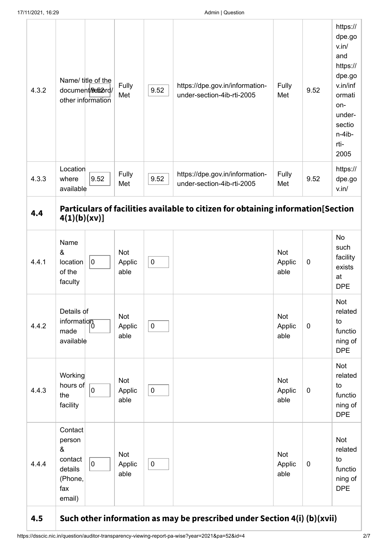| 4.3.2 | Name/ title of the<br>document/9e62ord/<br>other information                                    | Fully<br>Met                 | 9.52      | https://dpe.gov.in/information-<br>under-section-4ib-rti-2005                    | Fully<br>Met          | 9.52        | https://<br>dpe.go<br>v.in/<br>and<br>https://<br>dpe.go<br>v.in/inf<br>ormati<br>on-<br>under-<br>sectio<br>n-4ib-<br>rti-<br>2005 |
|-------|-------------------------------------------------------------------------------------------------|------------------------------|-----------|----------------------------------------------------------------------------------|-----------------------|-------------|-------------------------------------------------------------------------------------------------------------------------------------|
| 4.3.3 | Location<br>9.52<br>where<br>available                                                          | Fully<br>Met                 | 9.52      | https://dpe.gov.in/information-<br>under-section-4ib-rti-2005                    | Fully<br>Met          | 9.52        | https://<br>dpe.go<br>v.in/                                                                                                         |
| 4.4   | 4(1)(b)(xv)]                                                                                    |                              |           | Particulars of facilities available to citizen for obtaining information[Section |                       |             |                                                                                                                                     |
| 4.4.1 | Name<br>&<br>$\mathbf 0$<br>location<br>of the<br>faculty                                       | Not<br>Applic<br>able        | $\pmb{0}$ |                                                                                  | Not<br>Applic<br>able | $\mathbf 0$ | <b>No</b><br>such<br>facility<br>exists<br>at<br><b>DPE</b>                                                                         |
| 4.4.2 | Details of<br>information<br>made<br>available                                                  | Not<br>Applic<br>able        | $\pmb{0}$ |                                                                                  | Not<br>Applic<br>able | $\mathbf 0$ | <b>Not</b><br>related<br>to<br>functio<br>ning of<br><b>DPE</b>                                                                     |
| 4.4.3 | Working<br>hours of<br>$\overline{0}$<br>the<br>facility                                        | Not<br>Applic<br>able        | $\pmb{0}$ |                                                                                  | Not<br>Applic<br>able | $\pmb{0}$   | <b>Not</b><br>related<br>to<br>functio<br>ning of<br><b>DPE</b>                                                                     |
| 4.4.4 | Contact<br>person<br>&<br>contact<br>$\mathsf{O}\xspace$<br>details<br>(Phone,<br>fax<br>email) | <b>Not</b><br>Applic<br>able | $\pmb{0}$ |                                                                                  | Not<br>Applic<br>able | $\pmb{0}$   | <b>Not</b><br>related<br>to<br>functio<br>ning of<br><b>DPE</b>                                                                     |

## **4.5 Such other information as may be prescribed under Section 4(i) (b)(xvii)**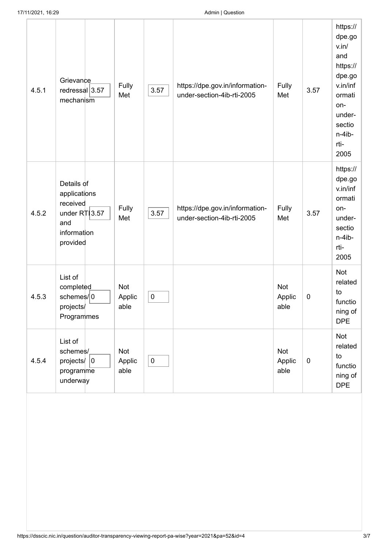| 4.5.1 | Grievance<br>redressal 3.57<br>mechanism                                                     | Fully<br>Met                 | 3.57      | https://dpe.gov.in/information-<br>under-section-4ib-rti-2005 | Fully<br>Met          | 3.57        | https://<br>dpe.go<br>v.in/<br>and<br>https://<br>dpe.go<br>v.in/inf<br>ormati<br>on-<br>under-<br>sectio<br>n-4ib-<br>rti-<br>2005 |
|-------|----------------------------------------------------------------------------------------------|------------------------------|-----------|---------------------------------------------------------------|-----------------------|-------------|-------------------------------------------------------------------------------------------------------------------------------------|
| 4.5.2 | Details of<br>applications<br>received<br>under $R\ 13.57$<br>and<br>information<br>provided | Fully<br>Met                 | 3.57      | https://dpe.gov.in/information-<br>under-section-4ib-rti-2005 | Fully<br>Met          | 3.57        | https://<br>dpe.go<br>v.in/inf<br>ormati<br>on-<br>under-<br>sectio<br>n-4ib-<br>rti-<br>2005                                       |
| 4.5.3 | List of<br>completed<br>schemes/ <sub>0</sub><br>projects/<br>Programmes                     | Not<br>Applic<br>able        | $\pmb{0}$ |                                                               | Not<br>Applic<br>able | $\mathbf 0$ | Not<br>related<br>to<br>functio<br>ning of<br><b>DPE</b>                                                                            |
| 4.5.4 | List of<br>schemes/<br>projects $ 0 $<br>programme<br>underway                               | <b>Not</b><br>Applic<br>able | $\pmb{0}$ |                                                               | Not<br>Applic<br>able | $\pmb{0}$   | <b>Not</b><br>related<br>to<br>functio<br>ning of<br><b>DPE</b>                                                                     |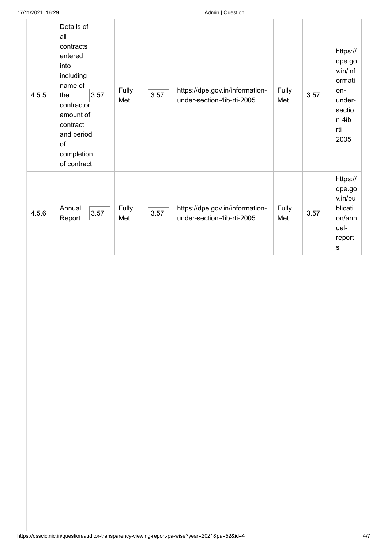| 4.5.5 | Details of<br>all<br>contracts<br>entered<br>into<br>including<br>name of<br>3.57<br>the<br>contractor,<br>amount of<br>contract<br>and period<br>of<br>completion<br>of contract | Fully<br>Met | 3.57 | https://dpe.gov.in/information-<br>under-section-4ib-rti-2005 | Fully<br>Met | 3.57 | https://<br>dpe.go<br>v.in/inf<br>ormati<br>on-<br>under-<br>sectio<br>$n-4ib-$<br>rti-<br>2005 |
|-------|-----------------------------------------------------------------------------------------------------------------------------------------------------------------------------------|--------------|------|---------------------------------------------------------------|--------------|------|-------------------------------------------------------------------------------------------------|
| 4.5.6 | Annual<br>3.57<br>Report                                                                                                                                                          | Fully<br>Met | 3.57 | https://dpe.gov.in/information-<br>under-section-4ib-rti-2005 | Fully<br>Met | 3.57 | https://<br>dpe.go<br>v.in/pu<br>blicati<br>on/ann<br>ual-<br>report<br>s                       |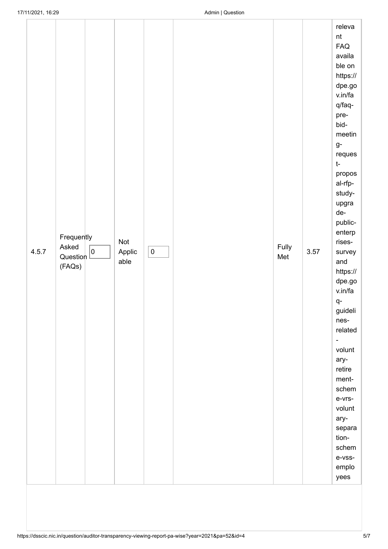| 4.5.7 | Frequently<br>Asked<br>$\pmb{0}$<br>Question<br>(FAQs) | Not<br>Applic<br>able | $\pmb{0}$ |  | Fully<br>Met | 3.57 | $\sf nt$<br>FAQ<br>availa<br>ble on<br>https://<br>dpe.go<br>v.in/fa<br>q/faq-<br>pre-<br>bid-<br>meetin<br>$g-$<br>reques<br>$t-$<br>propos<br>al-rfp-<br>study-<br>upgra<br>de-<br>public-<br>enterp<br>rises-<br>survey<br>and<br>https://<br>dpe.go<br>v.in/fa<br>q-<br>guideli<br>nes-<br>related<br>$\overline{\phantom{a}}$<br>volunt<br>ary-<br>retire<br>ment-<br>schem<br>e-vrs-<br>volunt<br>ary-<br>separa<br>tion-<br>schem<br>e-vss-<br>emplo |
|-------|--------------------------------------------------------|-----------------------|-----------|--|--------------|------|-------------------------------------------------------------------------------------------------------------------------------------------------------------------------------------------------------------------------------------------------------------------------------------------------------------------------------------------------------------------------------------------------------------------------------------------------------------|
|-------|--------------------------------------------------------|-----------------------|-----------|--|--------------|------|-------------------------------------------------------------------------------------------------------------------------------------------------------------------------------------------------------------------------------------------------------------------------------------------------------------------------------------------------------------------------------------------------------------------------------------------------------------|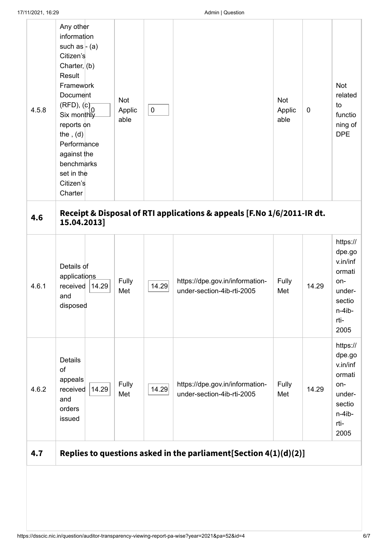| 4.5.8 | Any other<br>information<br>such as $-$ (a)<br>Citizen's<br>Charter, $(b)$<br>Result<br>Framework<br>Document<br>(RFD), (c)<br>Six monthly<br>reports on<br>the, $(d)$<br>Performance<br>against the<br>benchmarks<br>set in the<br>Citizen's<br>Charter | Not<br>Applic<br>able | $\pmb{0}$ |                                                                     | Not<br>Applic<br>able | $\mathbf 0$ | Not<br>related<br>to<br>functio<br>ning of<br><b>DPE</b>                                      |  |
|-------|----------------------------------------------------------------------------------------------------------------------------------------------------------------------------------------------------------------------------------------------------------|-----------------------|-----------|---------------------------------------------------------------------|-----------------------|-------------|-----------------------------------------------------------------------------------------------|--|
| 4.6   | Receipt & Disposal of RTI applications & appeals [F.No 1/6/2011-IR dt.<br>15.04.2013]                                                                                                                                                                    |                       |           |                                                                     |                       |             |                                                                                               |  |
| 4.6.1 | Details of<br>applications<br>received<br>14.29<br>and<br>disposed                                                                                                                                                                                       | Fully<br>Met          | 14.29     | https://dpe.gov.in/information-<br>under-section-4ib-rti-2005       | Fully<br>Met          | 14.29       | https://<br>dpe.go<br>v.in/inf<br>ormati<br>on-<br>under-<br>sectio<br>n-4ib-<br>rti-<br>2005 |  |
| 4.6.2 | Details<br>of<br>appeals<br>14.29<br>received<br>and<br>orders<br>issued                                                                                                                                                                                 | Fully<br>Met          | 14.29     | https://dpe.gov.in/information-<br>under-section-4ib-rti-2005       | Fully<br>Met          | 14.29       | https://<br>dpe.go<br>v.in/inf<br>ormati<br>on-<br>under-<br>sectio<br>n-4ib-<br>rti-<br>2005 |  |
| 4.7   |                                                                                                                                                                                                                                                          |                       |           | Replies to questions asked in the parliament [Section $4(1)(d)(2)]$ |                       |             |                                                                                               |  |
|       |                                                                                                                                                                                                                                                          |                       |           |                                                                     |                       |             |                                                                                               |  |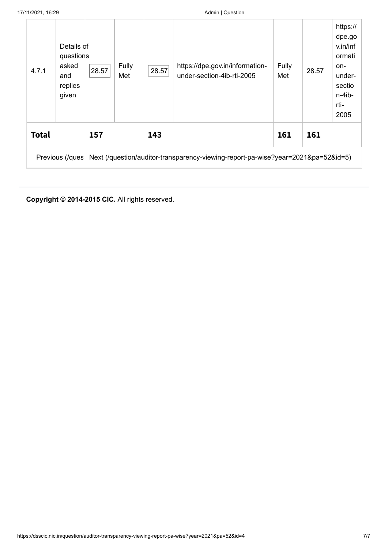| 4.7.1        | Details of<br>questions<br>asked<br>and<br>replies<br>given | 28.57 | Fully<br>Met | 28.57 | https://dpe.gov.in/information-<br>under-section-4ib-rti-2005                                     | Fully<br>Met | 28.57 | https://<br>dpe.go<br>v.in/inf<br>ormati<br>on-<br>under-<br>sectio<br>$n-4$ ib-<br>rti-<br>2005 |
|--------------|-------------------------------------------------------------|-------|--------------|-------|---------------------------------------------------------------------------------------------------|--------------|-------|--------------------------------------------------------------------------------------------------|
| <b>Total</b> |                                                             | 157   |              | 143   |                                                                                                   | 161          | 161   |                                                                                                  |
|              |                                                             |       |              |       | Previous (/ques Next (/question/auditor-transparency-viewing-report-pa-wise?year=2021&pa=52&id=5) |              |       |                                                                                                  |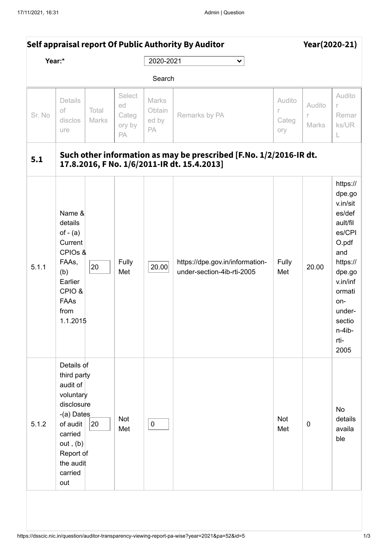<span id="page-44-0"></span>

|        | Self appraisal report Of Public Authority By Auditor                                                                                                          |                |                                       |                                |                                                                                                                   |                             | Year(2020-21)        |                                                                                                                                                                                 |  |
|--------|---------------------------------------------------------------------------------------------------------------------------------------------------------------|----------------|---------------------------------------|--------------------------------|-------------------------------------------------------------------------------------------------------------------|-----------------------------|----------------------|---------------------------------------------------------------------------------------------------------------------------------------------------------------------------------|--|
|        | Year:*                                                                                                                                                        |                |                                       | 2020-2021                      | $\checkmark$                                                                                                      |                             |                      |                                                                                                                                                                                 |  |
|        |                                                                                                                                                               |                |                                       | Search                         |                                                                                                                   |                             |                      |                                                                                                                                                                                 |  |
| Sr. No | Details<br>of<br>disclos<br>ure                                                                                                                               | Total<br>Marks | Select<br>ed<br>Categ<br>ory by<br>PA | Marks<br>Obtain<br>ed by<br>PA | Remarks by PA                                                                                                     | Audito<br>r<br>Categ<br>ory | Audito<br>r<br>Marks | Audito<br>r<br>Remar<br>ks/UR<br>L                                                                                                                                              |  |
| 5.1    |                                                                                                                                                               |                |                                       |                                | Such other information as may be prescribed [F.No. 1/2/2016-IR dt.<br>17.8.2016, F No. 1/6/2011-IR dt. 15.4.2013] |                             |                      |                                                                                                                                                                                 |  |
| 5.1.1  | Name &<br>details<br>of $-$ (a)<br>Current<br>CPIOs &<br>FAAs,<br>(b)<br>Earlier<br>CPIO &<br>FAAs<br>from<br>1.1.2015                                        | 20             | Fully<br>Met                          | 20.00                          | https://dpe.gov.in/information-<br>under-section-4ib-rti-2005                                                     | Fully<br>Met                | 20.00                | https://<br>dpe.go<br>v.in/sit<br>es/def<br>ault/fil<br>es/CPI<br>O.pdf<br>and<br>https://<br>dpe.go<br>v.in/inf<br>ormati<br>on-<br>under-<br>sectio<br>n-4ib-<br>rti-<br>2005 |  |
| 5.1.2  | Details of<br>third party<br>audit of<br>voluntary<br>disclosure<br>-(a) Dates<br>of audit<br>carried<br>out, (b)<br>Report of<br>the audit<br>carried<br>out | 20             | Not<br>Met                            | $\pmb{0}$                      |                                                                                                                   | Not<br>Met                  | $\pmb{0}$            | No<br>details<br>availa<br>ble                                                                                                                                                  |  |
|        |                                                                                                                                                               |                |                                       |                                |                                                                                                                   |                             |                      |                                                                                                                                                                                 |  |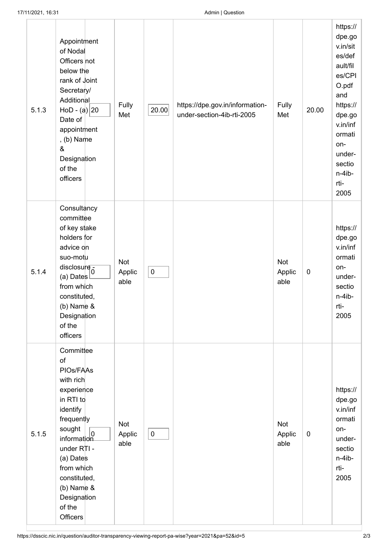| 5.1.3 | Appointment<br>of Nodal<br>Officers not<br>below the<br>rank of Joint<br>Secretary/<br>Additional<br>$HoD - (a)   20$<br>Date of<br>appointment<br>$, (b)$ Name<br>&<br>Designation<br>of the<br>officers                                                                                             | Fully<br>Met                 | 20.00     | https://dpe.gov.in/information-<br>under-section-4ib-rti-2005 | Fully<br>Met          | 20.00       | https://<br>dpe.go<br>v.in/sit<br>es/def<br>ault/fil<br>es/CPI<br>O.pdf<br>and<br>https://<br>dpe.go<br>v.in/inf<br>ormati<br>on-<br>under-<br>sectio<br>n-4ib-<br>rti-<br>2005 |
|-------|-------------------------------------------------------------------------------------------------------------------------------------------------------------------------------------------------------------------------------------------------------------------------------------------------------|------------------------------|-----------|---------------------------------------------------------------|-----------------------|-------------|---------------------------------------------------------------------------------------------------------------------------------------------------------------------------------|
| 5.1.4 | Consultancy<br>committee<br>of key stake<br>holders for<br>advice on<br>suo-motu<br>disclosure $\frac{1}{0}$<br>(a) Dates<br>from which<br>constituted,<br>$(b)$ Name &<br>Designation<br>of the<br>officers                                                                                          | <b>Not</b><br>Applic<br>able | $\pmb{0}$ |                                                               | Not<br>Applic<br>able | $\pmb{0}$   | https://<br>dpe.go<br>v.in/inf<br>ormati<br>on-<br>under-<br>sectio<br>n-4ib-<br>rti-<br>2005                                                                                   |
| 5.1.5 | Committee<br>of<br>PIOs/FAAs<br>with rich<br>experience<br>in RTI to<br>identify<br>frequently<br>sought<br>$\begin{array}{c c}\n\text{sought} & 0 \\ \text{information}\n\end{array}$<br>under RTI -<br>(a) Dates<br>from which<br>constituted,<br>$(b)$ Name &<br>Designation<br>of the<br>Officers | <b>Not</b><br>Applic<br>able | $\pmb{0}$ |                                                               | Not<br>Applic<br>able | $\mathbf 0$ | https://<br>dpe.go<br>v.in/inf<br>ormati<br>on-<br>under-<br>sectio<br>n-4ib-<br>rti-<br>2005                                                                                   |